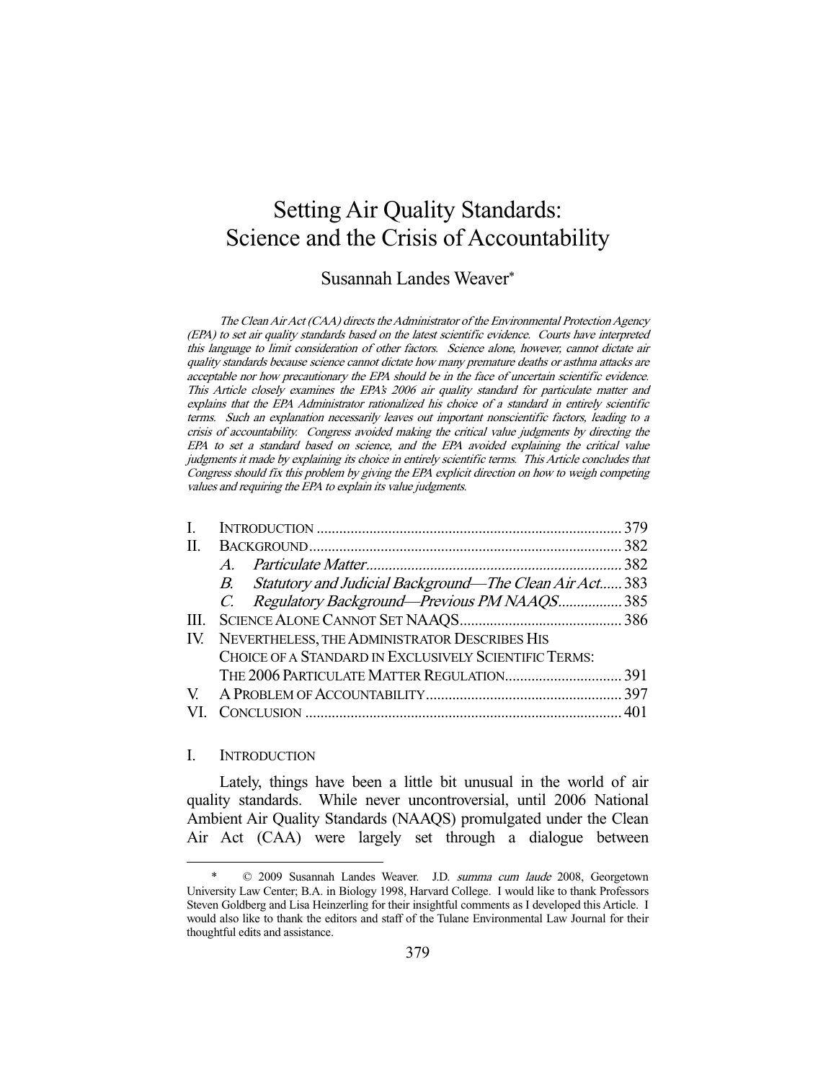# Setting Air Quality Standards: Science and the Crisis of Accountability

# Susannah Landes Weaver\*

The Clean Air Act (CAA) directs the Administrator of the Environmental Protection Agency (EPA) to set air quality standards based on the latest scientific evidence. Courts have interpreted this language to limit consideration of other factors. Science alone, however, cannot dictate air quality standards because science cannot dictate how many premature deaths or asthma attacks are acceptable nor how precautionary the EPA should be in the face of uncertain scientific evidence. This Article closely examines the EPA's 2006 air quality standard for particulate matter and explains that the EPA Administrator rationalized his choice of a standard in entirely scientific terms. Such an explanation necessarily leaves out important nonscientific factors, leading to a crisis of accountability. Congress avoided making the critical value judgments by directing the EPA to set a standard based on science, and the EPA avoided explaining the critical value judgments it made by explaining its choice in entirely scientific terms. This Article concludes that Congress should fix this problem by giving the EPA explicit direction on how to weigh competing values and requiring the EPA to explain its value judgments.

| H.  |                                                            |  |
|-----|------------------------------------------------------------|--|
|     | $\overline{A}$                                             |  |
|     | B. Statutory and Judicial Background—The Clean Air Act 383 |  |
|     | C. Regulatory Background—Previous PM NAAQS 385             |  |
| HL. |                                                            |  |
|     | IV. NEVERTHELESS, THE ADMINISTRATOR DESCRIBES HIS          |  |
|     | CHOICE OF A STANDARD IN EXCLUSIVELY SCIENTIFIC TERMS:      |  |
|     |                                                            |  |
|     |                                                            |  |
|     |                                                            |  |
|     |                                                            |  |

#### I. INTRODUCTION

-

 Lately, things have been a little bit unusual in the world of air quality standards. While never uncontroversial, until 2006 National Ambient Air Quality Standards (NAAQS) promulgated under the Clean Air Act (CAA) were largely set through a dialogue between

 <sup>\* © 2009</sup> Susannah Landes Weaver. J.D. summa cum laude 2008, Georgetown University Law Center; B.A. in Biology 1998, Harvard College. I would like to thank Professors Steven Goldberg and Lisa Heinzerling for their insightful comments as I developed this Article. I would also like to thank the editors and staff of the Tulane Environmental Law Journal for their thoughtful edits and assistance.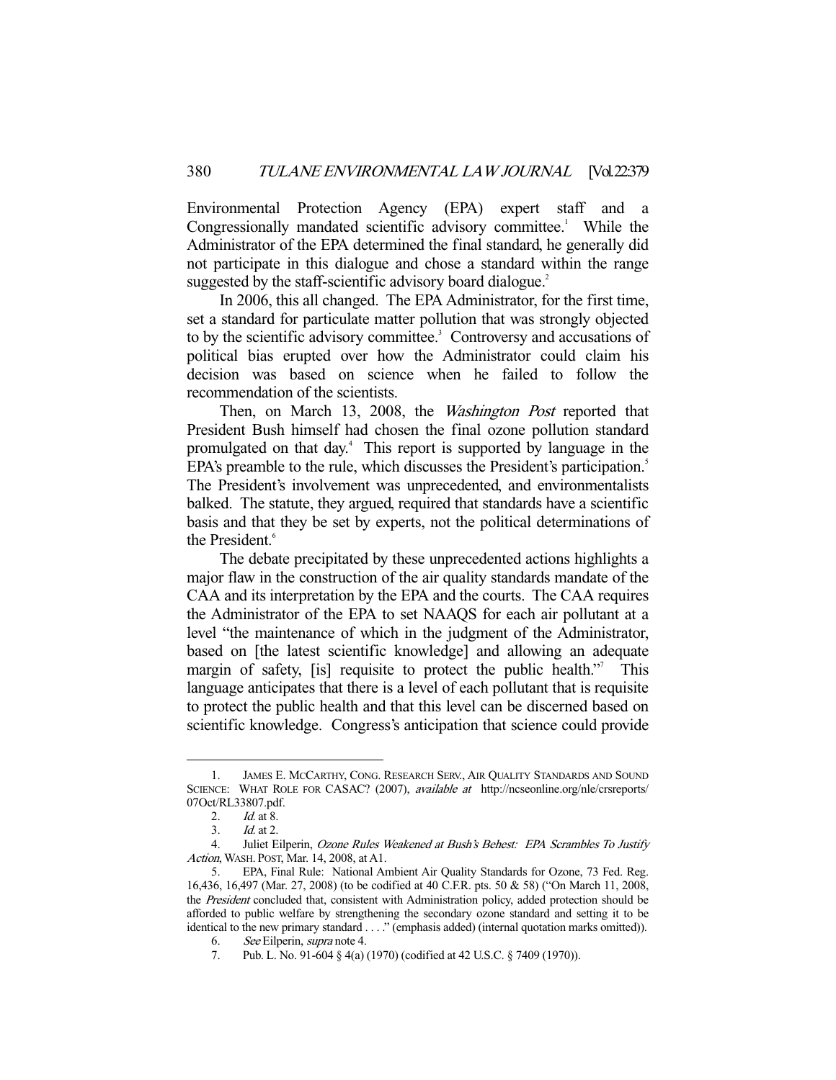Environmental Protection Agency (EPA) expert staff and a Congressionally mandated scientific advisory committee.<sup>1</sup> While the Administrator of the EPA determined the final standard, he generally did not participate in this dialogue and chose a standard within the range suggested by the staff-scientific advisory board dialogue.<sup>2</sup>

 In 2006, this all changed. The EPA Administrator, for the first time, set a standard for particulate matter pollution that was strongly objected to by the scientific advisory committee.<sup>3</sup> Controversy and accusations of political bias erupted over how the Administrator could claim his decision was based on science when he failed to follow the recommendation of the scientists.

Then, on March 13, 2008, the Washington Post reported that President Bush himself had chosen the final ozone pollution standard promulgated on that day.4 This report is supported by language in the EPA's preamble to the rule, which discusses the President's participation.<sup>5</sup> The President's involvement was unprecedented, and environmentalists balked. The statute, they argued, required that standards have a scientific basis and that they be set by experts, not the political determinations of the President.<sup>6</sup>

 The debate precipitated by these unprecedented actions highlights a major flaw in the construction of the air quality standards mandate of the CAA and its interpretation by the EPA and the courts. The CAA requires the Administrator of the EPA to set NAAQS for each air pollutant at a level "the maintenance of which in the judgment of the Administrator, based on [the latest scientific knowledge] and allowing an adequate margin of safety, [is] requisite to protect the public health."<sup>7</sup> This language anticipates that there is a level of each pollutant that is requisite to protect the public health and that this level can be discerned based on scientific knowledge. Congress's anticipation that science could provide

 <sup>1.</sup> JAMES E. MCCARTHY, CONG. RESEARCH SERV., AIR QUALITY STANDARDS AND SOUND SCIENCE: WHAT ROLE FOR CASAC? (2007), available at http://ncseonline.org/nle/crsreports/ 07Oct/RL33807.pdf.

 <sup>2.</sup> Id. at 8.

 <sup>3.</sup> Id. at 2.

 <sup>4.</sup> Juliet Eilperin, Ozone Rules Weakened at Bush's Behest: EPA Scrambles To Justify Action, WASH. POST, Mar. 14, 2008, at A1.

 <sup>5.</sup> EPA, Final Rule: National Ambient Air Quality Standards for Ozone, 73 Fed. Reg. 16,436, 16,497 (Mar. 27, 2008) (to be codified at 40 C.F.R. pts. 50 & 58) ("On March 11, 2008, the President concluded that, consistent with Administration policy, added protection should be afforded to public welfare by strengthening the secondary ozone standard and setting it to be identical to the new primary standard . . . ." (emphasis added) (internal quotation marks omitted)).

 <sup>6.</sup> See Eilperin, supra note 4.

 <sup>7.</sup> Pub. L. No. 91-604 § 4(a) (1970) (codified at 42 U.S.C. § 7409 (1970)).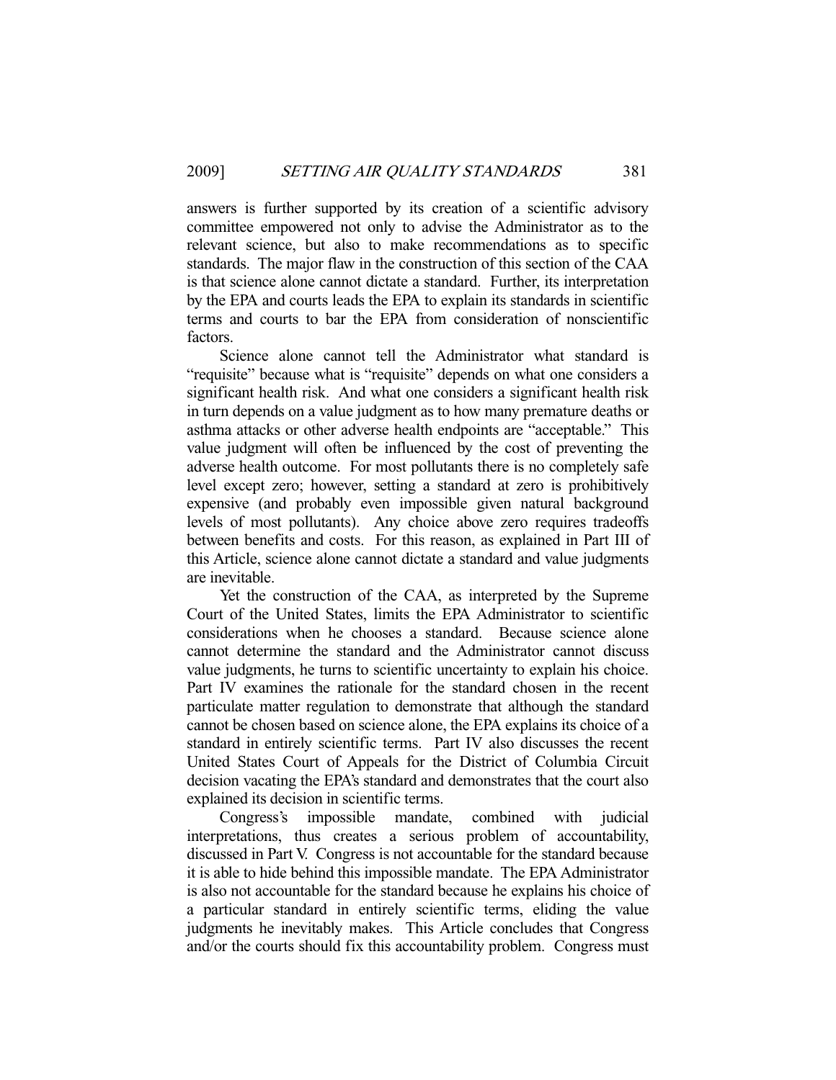answers is further supported by its creation of a scientific advisory committee empowered not only to advise the Administrator as to the relevant science, but also to make recommendations as to specific standards. The major flaw in the construction of this section of the CAA is that science alone cannot dictate a standard. Further, its interpretation by the EPA and courts leads the EPA to explain its standards in scientific terms and courts to bar the EPA from consideration of nonscientific factors.

 Science alone cannot tell the Administrator what standard is "requisite" because what is "requisite" depends on what one considers a significant health risk. And what one considers a significant health risk in turn depends on a value judgment as to how many premature deaths or asthma attacks or other adverse health endpoints are "acceptable." This value judgment will often be influenced by the cost of preventing the adverse health outcome. For most pollutants there is no completely safe level except zero; however, setting a standard at zero is prohibitively expensive (and probably even impossible given natural background levels of most pollutants). Any choice above zero requires tradeoffs between benefits and costs. For this reason, as explained in Part III of this Article, science alone cannot dictate a standard and value judgments are inevitable.

 Yet the construction of the CAA, as interpreted by the Supreme Court of the United States, limits the EPA Administrator to scientific considerations when he chooses a standard. Because science alone cannot determine the standard and the Administrator cannot discuss value judgments, he turns to scientific uncertainty to explain his choice. Part IV examines the rationale for the standard chosen in the recent particulate matter regulation to demonstrate that although the standard cannot be chosen based on science alone, the EPA explains its choice of a standard in entirely scientific terms. Part IV also discusses the recent United States Court of Appeals for the District of Columbia Circuit decision vacating the EPA's standard and demonstrates that the court also explained its decision in scientific terms.

 Congress's impossible mandate, combined with judicial interpretations, thus creates a serious problem of accountability, discussed in Part V. Congress is not accountable for the standard because it is able to hide behind this impossible mandate. The EPA Administrator is also not accountable for the standard because he explains his choice of a particular standard in entirely scientific terms, eliding the value judgments he inevitably makes. This Article concludes that Congress and/or the courts should fix this accountability problem. Congress must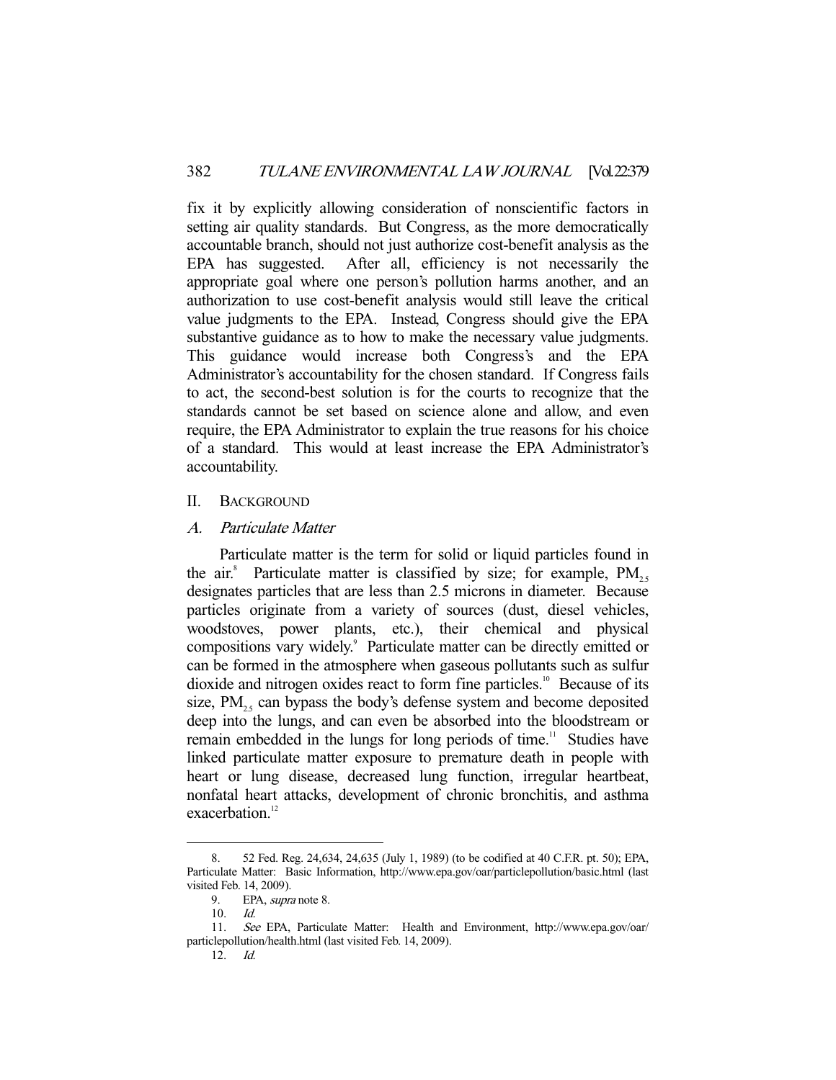fix it by explicitly allowing consideration of nonscientific factors in setting air quality standards. But Congress, as the more democratically accountable branch, should not just authorize cost-benefit analysis as the EPA has suggested. After all, efficiency is not necessarily the appropriate goal where one person's pollution harms another, and an authorization to use cost-benefit analysis would still leave the critical value judgments to the EPA. Instead, Congress should give the EPA substantive guidance as to how to make the necessary value judgments. This guidance would increase both Congress's and the EPA Administrator's accountability for the chosen standard. If Congress fails to act, the second-best solution is for the courts to recognize that the standards cannot be set based on science alone and allow, and even require, the EPA Administrator to explain the true reasons for his choice of a standard. This would at least increase the EPA Administrator's accountability.

## II. BACKGROUND

## A. Particulate Matter

 Particulate matter is the term for solid or liquid particles found in the air.<sup>8</sup> Particulate matter is classified by size; for example,  $PM_{2.5}$ designates particles that are less than 2.5 microns in diameter. Because particles originate from a variety of sources (dust, diesel vehicles, woodstoves, power plants, etc.), their chemical and physical compositions vary widely.<sup>9</sup> Particulate matter can be directly emitted or can be formed in the atmosphere when gaseous pollutants such as sulfur dioxide and nitrogen oxides react to form fine particles.<sup>10</sup> Because of its size,  $PM_{25}$  can bypass the body's defense system and become deposited deep into the lungs, and can even be absorbed into the bloodstream or remain embedded in the lungs for long periods of time.<sup>11</sup> Studies have linked particulate matter exposure to premature death in people with heart or lung disease, decreased lung function, irregular heartbeat, nonfatal heart attacks, development of chronic bronchitis, and asthma exacerbation.<sup>12</sup>

 <sup>8. 52</sup> Fed. Reg. 24,634, 24,635 (July 1, 1989) (to be codified at 40 C.F.R. pt. 50); EPA, Particulate Matter: Basic Information, http://www.epa.gov/oar/particlepollution/basic.html (last visited Feb. 14, 2009).

<sup>9.</sup> EPA, *supra* note 8.

 <sup>10.</sup> Id.

 <sup>11.</sup> See EPA, Particulate Matter: Health and Environment, http://www.epa.gov/oar/ particlepollution/health.html (last visited Feb. 14, 2009).

 <sup>12.</sup> Id.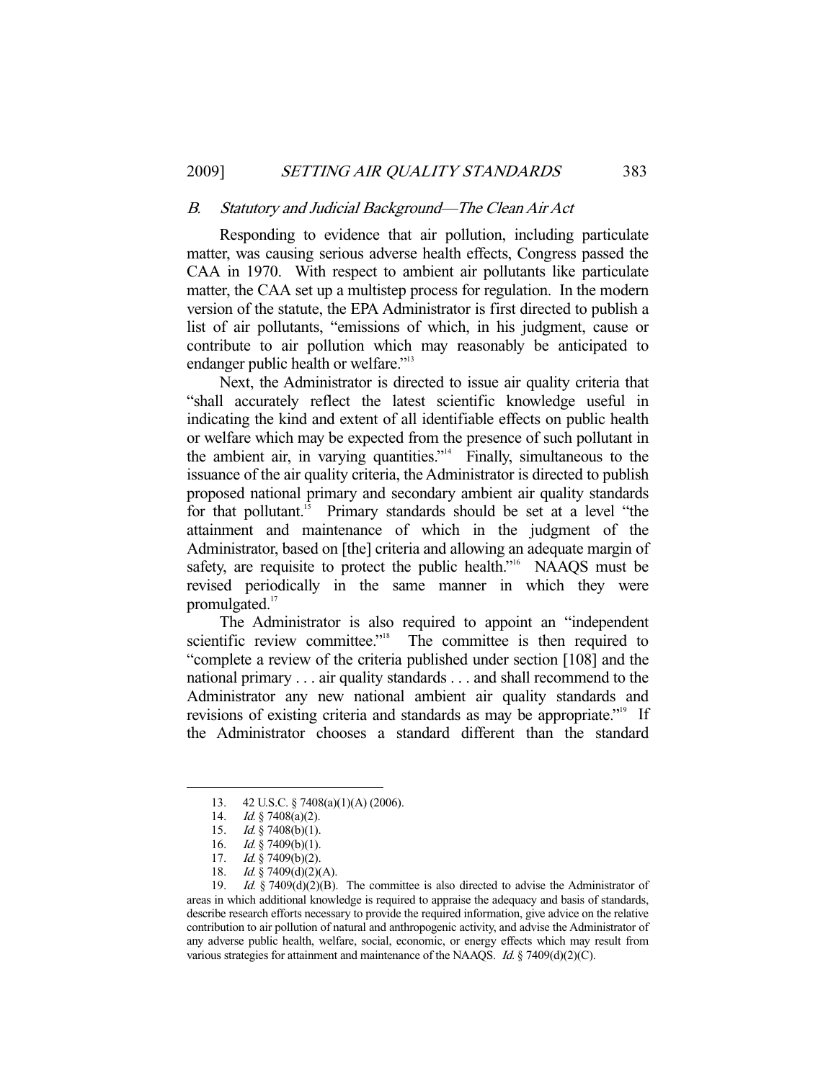#### B. Statutory and Judicial Background—The Clean Air Act

 Responding to evidence that air pollution, including particulate matter, was causing serious adverse health effects, Congress passed the CAA in 1970. With respect to ambient air pollutants like particulate matter, the CAA set up a multistep process for regulation. In the modern version of the statute, the EPA Administrator is first directed to publish a list of air pollutants, "emissions of which, in his judgment, cause or contribute to air pollution which may reasonably be anticipated to endanger public health or welfare."<sup>13</sup>

 Next, the Administrator is directed to issue air quality criteria that "shall accurately reflect the latest scientific knowledge useful in indicating the kind and extent of all identifiable effects on public health or welfare which may be expected from the presence of such pollutant in the ambient air, in varying quantities." $\frac{1}{4}$  Finally, simultaneous to the issuance of the air quality criteria, the Administrator is directed to publish proposed national primary and secondary ambient air quality standards for that pollutant.<sup>15</sup> Primary standards should be set at a level "the attainment and maintenance of which in the judgment of the Administrator, based on [the] criteria and allowing an adequate margin of safety, are requisite to protect the public health."<sup>16</sup> NAAQS must be revised periodically in the same manner in which they were promulgated.<sup>17</sup>

The Administrator is also required to appoint an "independent scientific review committee."<sup>18</sup> The committee is then required to The committee is then required to "complete a review of the criteria published under section [108] and the national primary . . . air quality standards . . . and shall recommend to the Administrator any new national ambient air quality standards and revisions of existing criteria and standards as may be appropriate."<sup>19</sup> If the Administrator chooses a standard different than the standard

 <sup>13. 42</sup> U.S.C. § 7408(a)(1)(A) (2006).

<sup>14.</sup> *Id.* § 7408(a)(2).

 <sup>15.</sup> Id. § 7408(b)(1).

<sup>16.</sup> *Id.* § 7409(b)(1).

<sup>17.</sup> *Id.* § 7409(b)(2).

<sup>18.</sup> *Id.* § 7409(d)(2)(A).

<sup>19.</sup> Id.  $§ 7409(d)(2)(B)$ . The committee is also directed to advise the Administrator of areas in which additional knowledge is required to appraise the adequacy and basis of standards, describe research efforts necessary to provide the required information, give advice on the relative contribution to air pollution of natural and anthropogenic activity, and advise the Administrator of any adverse public health, welfare, social, economic, or energy effects which may result from various strategies for attainment and maintenance of the NAAQS. Id.  $\S$  7409(d)(2)(C).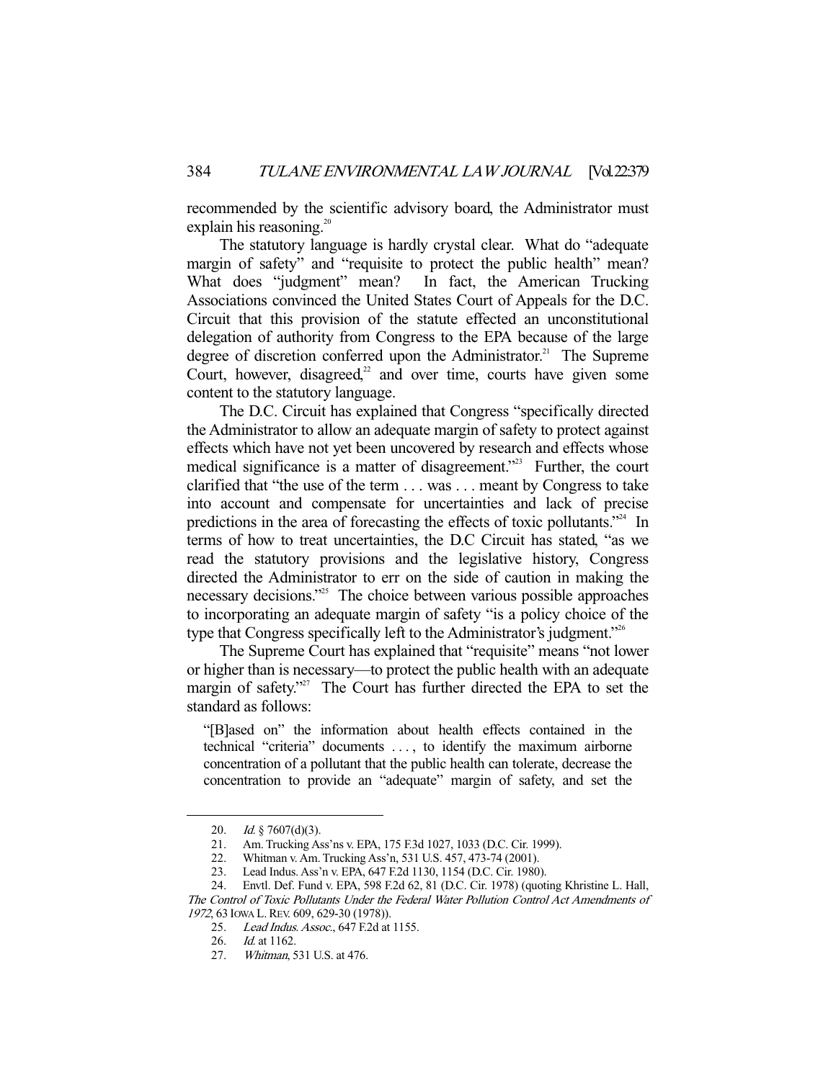recommended by the scientific advisory board, the Administrator must explain his reasoning. $20$ 

 The statutory language is hardly crystal clear. What do "adequate margin of safety" and "requisite to protect the public health" mean? What does "judgment" mean? In fact, the American Trucking Associations convinced the United States Court of Appeals for the D.C. Circuit that this provision of the statute effected an unconstitutional delegation of authority from Congress to the EPA because of the large degree of discretion conferred upon the Administrator.<sup>21</sup> The Supreme Court, however, disagreed, $2$  and over time, courts have given some content to the statutory language.

 The D.C. Circuit has explained that Congress "specifically directed the Administrator to allow an adequate margin of safety to protect against effects which have not yet been uncovered by research and effects whose medical significance is a matter of disagreement."<sup>23</sup> Further, the court clarified that "the use of the term . . . was . . . meant by Congress to take into account and compensate for uncertainties and lack of precise predictions in the area of forecasting the effects of toxic pollutants."<sup>24</sup> In terms of how to treat uncertainties, the D.C Circuit has stated, "as we read the statutory provisions and the legislative history, Congress directed the Administrator to err on the side of caution in making the necessary decisions."25 The choice between various possible approaches to incorporating an adequate margin of safety "is a policy choice of the type that Congress specifically left to the Administrator's judgment."26

 The Supreme Court has explained that "requisite" means "not lower or higher than is necessary—to protect the public health with an adequate margin of safety."<sup>27</sup> The Court has further directed the EPA to set the standard as follows:

"[B]ased on" the information about health effects contained in the technical "criteria" documents . . . , to identify the maximum airborne concentration of a pollutant that the public health can tolerate, decrease the concentration to provide an "adequate" margin of safety, and set the

 <sup>20.</sup> Id. § 7607(d)(3).

 <sup>21.</sup> Am. Trucking Ass'ns v. EPA, 175 F.3d 1027, 1033 (D.C. Cir. 1999).

 <sup>22.</sup> Whitman v. Am. Trucking Ass'n, 531 U.S. 457, 473-74 (2001).

 <sup>23.</sup> Lead Indus. Ass'n v. EPA, 647 F.2d 1130, 1154 (D.C. Cir. 1980).

 <sup>24.</sup> Envtl. Def. Fund v. EPA, 598 F.2d 62, 81 (D.C. Cir. 1978) (quoting Khristine L. Hall, The Control of Toxic Pollutants Under the Federal Water Pollution Control Act Amendments of 1972, 63 IOWA L. REV. 609, 629-30 (1978)).

<sup>25.</sup> Lead Indus. Assoc., 647 F.2d at 1155.

 <sup>26.</sup> Id. at 1162.

 <sup>27.</sup> Whitman, 531 U.S. at 476.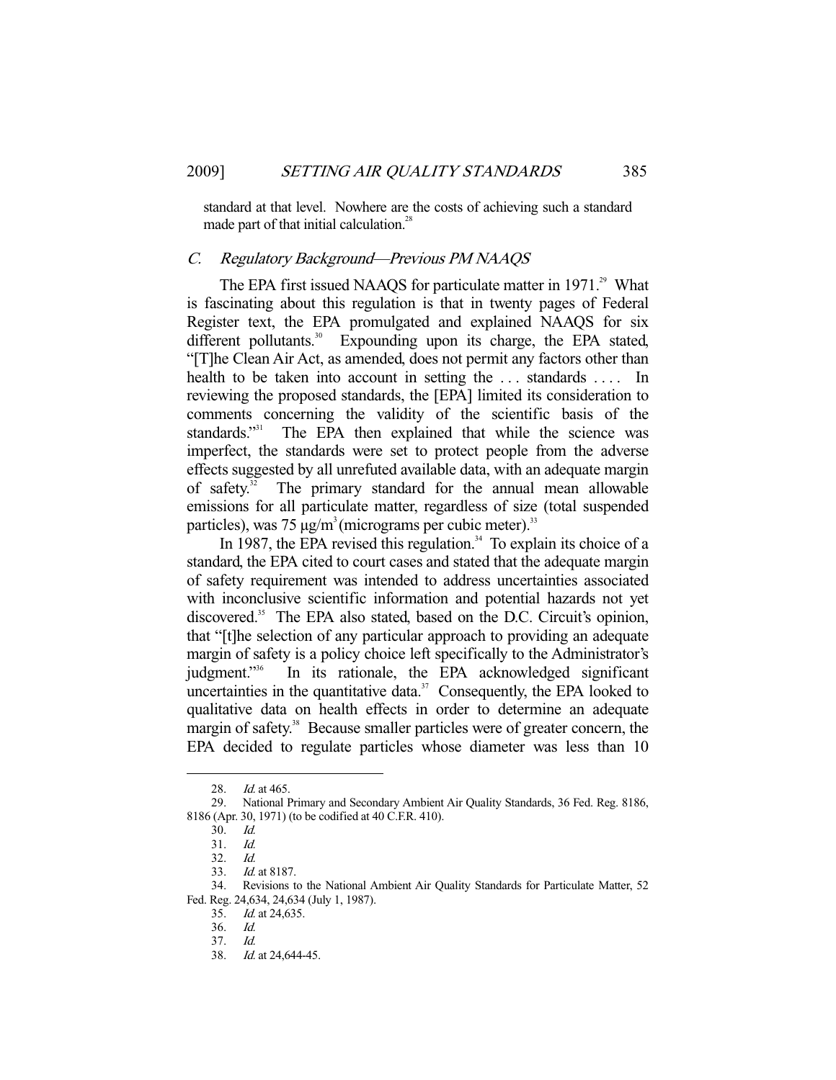standard at that level. Nowhere are the costs of achieving such a standard made part of that initial calculation.<sup>28</sup>

## C. Regulatory Background—Previous PM NAAQS

The EPA first issued NAAQS for particulate matter in 1971.<sup>29</sup> What is fascinating about this regulation is that in twenty pages of Federal Register text, the EPA promulgated and explained NAAQS for six different pollutants.<sup>30</sup> Expounding upon its charge, the EPA stated, "[T]he Clean Air Act, as amended, does not permit any factors other than health to be taken into account in setting the ... standards .... In reviewing the proposed standards, the [EPA] limited its consideration to comments concerning the validity of the scientific basis of the standards."<sup>31</sup> The EPA then explained that while the science was imperfect, the standards were set to protect people from the adverse effects suggested by all unrefuted available data, with an adequate margin of safety.<sup>32</sup> The primary standard for the annual mean allowable emissions for all particulate matter, regardless of size (total suspended particles), was  $75 \mu g/m^3$  (micrograms per cubic meter).<sup>33</sup>

In 1987, the EPA revised this regulation.<sup>34</sup> To explain its choice of a standard, the EPA cited to court cases and stated that the adequate margin of safety requirement was intended to address uncertainties associated with inconclusive scientific information and potential hazards not yet discovered.<sup>35</sup> The EPA also stated, based on the D.C. Circuit's opinion, that "[t]he selection of any particular approach to providing an adequate margin of safety is a policy choice left specifically to the Administrator's judgment."36 In its rationale, the EPA acknowledged significant uncertainties in the quantitative data. $37$  Consequently, the EPA looked to qualitative data on health effects in order to determine an adequate margin of safety.<sup>38</sup> Because smaller particles were of greater concern, the EPA decided to regulate particles whose diameter was less than 10

<sup>28.</sup> *Id.* at 465.

 <sup>29.</sup> National Primary and Secondary Ambient Air Quality Standards, 36 Fed. Reg. 8186, 8186 (Apr. 30, 1971) (to be codified at 40 C.F.R. 410).

 <sup>30.</sup> Id.

<sup>31.</sup> *Id.*<br>32. *Id.* 

 $32.33.$ Id. at 8187.

 <sup>34.</sup> Revisions to the National Ambient Air Quality Standards for Particulate Matter, 52 Fed. Reg. 24,634, 24,634 (July 1, 1987).

 <sup>35.</sup> Id. at 24,635.

 <sup>36.</sup> Id.

 <sup>37.</sup> Id.

 <sup>38.</sup> Id. at 24,644-45.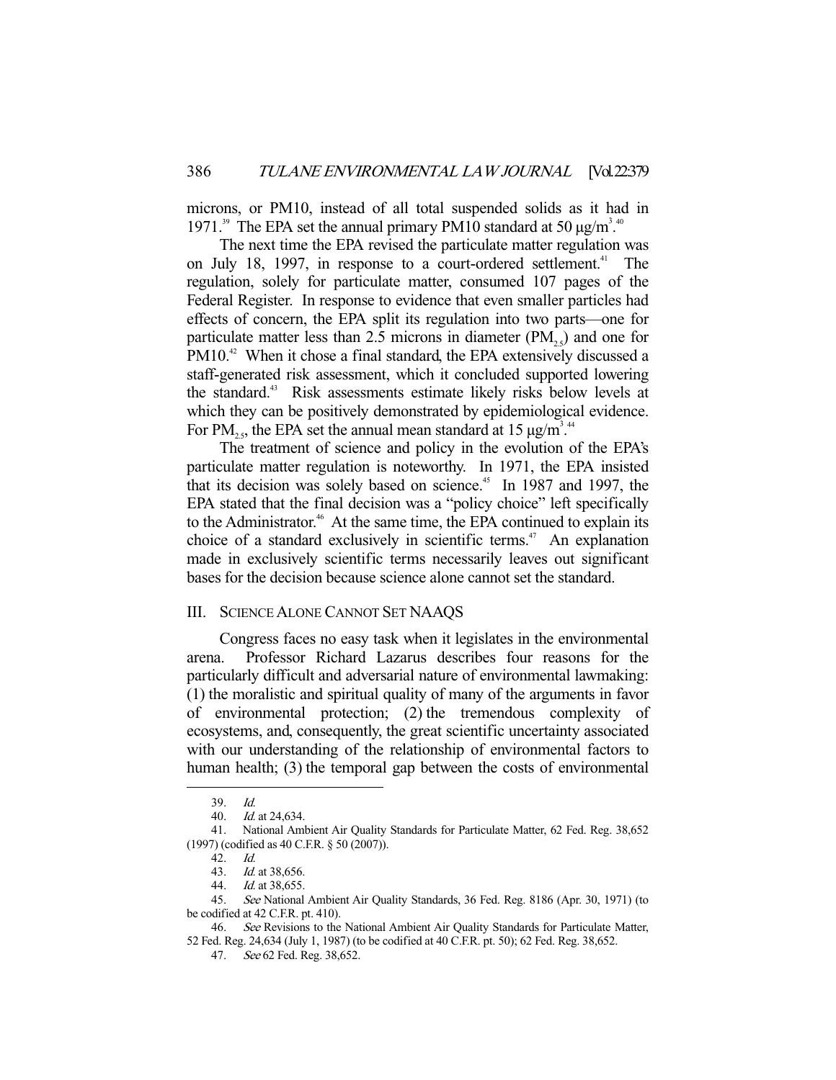microns, or PM10, instead of all total suspended solids as it had in 1971.<sup>39</sup> The EPA set the annual primary PM10 standard at 50  $\mu$ g/m<sup>3</sup>.<sup>40</sup>

 The next time the EPA revised the particulate matter regulation was on July 18, 1997, in response to a court-ordered settlement.<sup>41</sup> The regulation, solely for particulate matter, consumed 107 pages of the Federal Register. In response to evidence that even smaller particles had effects of concern, the EPA split its regulation into two parts—one for particulate matter less than 2.5 microns in diameter  $(PM_{2.5})$  and one for PM10.<sup>42</sup> When it chose a final standard, the EPA extensively discussed a staff-generated risk assessment, which it concluded supported lowering the standard.<sup>43</sup> Risk assessments estimate likely risks below levels at which they can be positively demonstrated by epidemiological evidence. For PM<sub>25</sub>, the EPA set the annual mean standard at 15  $\mu$ g/m<sup>3</sup>.<sup>44</sup>

The treatment of science and policy in the evolution of the EPA's particulate matter regulation is noteworthy. In 1971, the EPA insisted that its decision was solely based on science.<sup>45</sup> In 1987 and 1997, the EPA stated that the final decision was a "policy choice" left specifically to the Administrator.<sup>46</sup> At the same time, the EPA continued to explain its choice of a standard exclusively in scientific terms.<sup>47</sup> An explanation made in exclusively scientific terms necessarily leaves out significant bases for the decision because science alone cannot set the standard.

## III. SCIENCE ALONE CANNOT SET NAAQS

 Congress faces no easy task when it legislates in the environmental arena. Professor Richard Lazarus describes four reasons for the particularly difficult and adversarial nature of environmental lawmaking: (1) the moralistic and spiritual quality of many of the arguments in favor of environmental protection; (2) the tremendous complexity of ecosystems, and, consequently, the great scientific uncertainty associated with our understanding of the relationship of environmental factors to human health; (3) the temporal gap between the costs of environmental

 <sup>39.</sup> Id.

 <sup>40.</sup> Id. at 24,634.

 <sup>41.</sup> National Ambient Air Quality Standards for Particulate Matter, 62 Fed. Reg. 38,652 (1997) (codified as 40 C.F.R. § 50 (2007)).

<sup>42.</sup> *Id.*<br>43. *Id.* 

Id. at 38,656.

 <sup>44.</sup> Id. at 38,655.

<sup>45.</sup> See National Ambient Air Quality Standards, 36 Fed. Reg. 8186 (Apr. 30, 1971) (to be codified at 42 C.F.R. pt. 410).

<sup>46.</sup> See Revisions to the National Ambient Air Quality Standards for Particulate Matter, 52 Fed. Reg. 24,634 (July 1, 1987) (to be codified at 40 C.F.R. pt. 50); 62 Fed. Reg. 38,652.

 <sup>47.</sup> See 62 Fed. Reg. 38,652.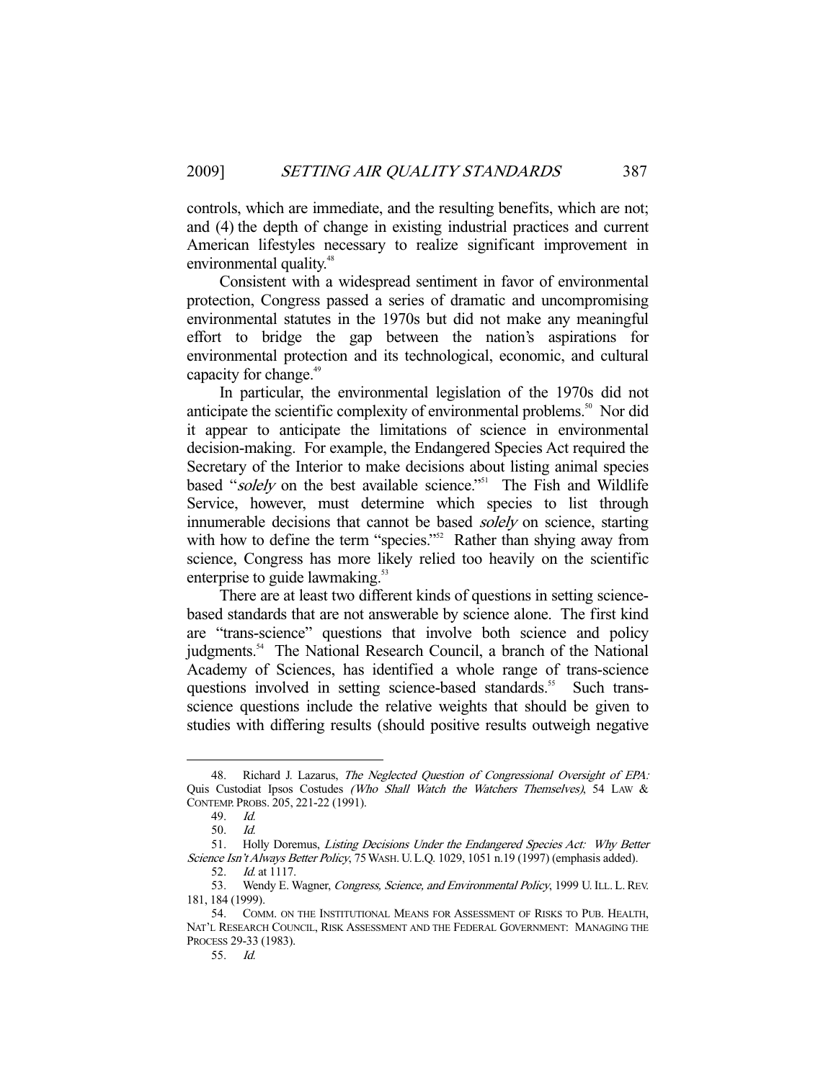controls, which are immediate, and the resulting benefits, which are not; and (4) the depth of change in existing industrial practices and current American lifestyles necessary to realize significant improvement in environmental quality.<sup>48</sup>

 Consistent with a widespread sentiment in favor of environmental protection, Congress passed a series of dramatic and uncompromising environmental statutes in the 1970s but did not make any meaningful effort to bridge the gap between the nation's aspirations for environmental protection and its technological, economic, and cultural capacity for change.<sup>49</sup>

 In particular, the environmental legislation of the 1970s did not anticipate the scientific complexity of environmental problems.<sup>50</sup> Nor did it appear to anticipate the limitations of science in environmental decision-making. For example, the Endangered Species Act required the Secretary of the Interior to make decisions about listing animal species based "solely on the best available science."<sup>51</sup> The Fish and Wildlife Service, however, must determine which species to list through innumerable decisions that cannot be based solely on science, starting with how to define the term "species."<sup>52</sup> Rather than shying away from science, Congress has more likely relied too heavily on the scientific enterprise to guide lawmaking.<sup>53</sup>

There are at least two different kinds of questions in setting sciencebased standards that are not answerable by science alone. The first kind are "trans-science" questions that involve both science and policy judgments.<sup>54</sup> The National Research Council, a branch of the National Academy of Sciences, has identified a whole range of trans-science questions involved in setting science-based standards.<sup>55</sup> Such transscience questions include the relative weights that should be given to studies with differing results (should positive results outweigh negative

<sup>48.</sup> Richard J. Lazarus, The Neglected Question of Congressional Oversight of EPA: Quis Custodiat Ipsos Costudes (Who Shall Watch the Watchers Themselves), 54 LAW & CONTEMP. PROBS. 205, 221-22 (1991).

 <sup>49.</sup> Id.

 <sup>50.</sup> Id.

 <sup>51.</sup> Holly Doremus, Listing Decisions Under the Endangered Species Act: Why Better Science Isn't Always Better Policy, 75 WASH. U.L.Q. 1029, 1051 n.19 (1997) (emphasis added).

 <sup>52.</sup> Id. at 1117.

<sup>53.</sup> Wendy E. Wagner, Congress, Science, and Environmental Policy, 1999 U. ILL. L. REV. 181, 184 (1999).

 <sup>54.</sup> COMM. ON THE INSTITUTIONAL MEANS FOR ASSESSMENT OF RISKS TO PUB. HEALTH, NAT'L RESEARCH COUNCIL, RISK ASSESSMENT AND THE FEDERAL GOVERNMENT: MANAGING THE PROCESS 29-33 (1983).

 <sup>55.</sup> Id.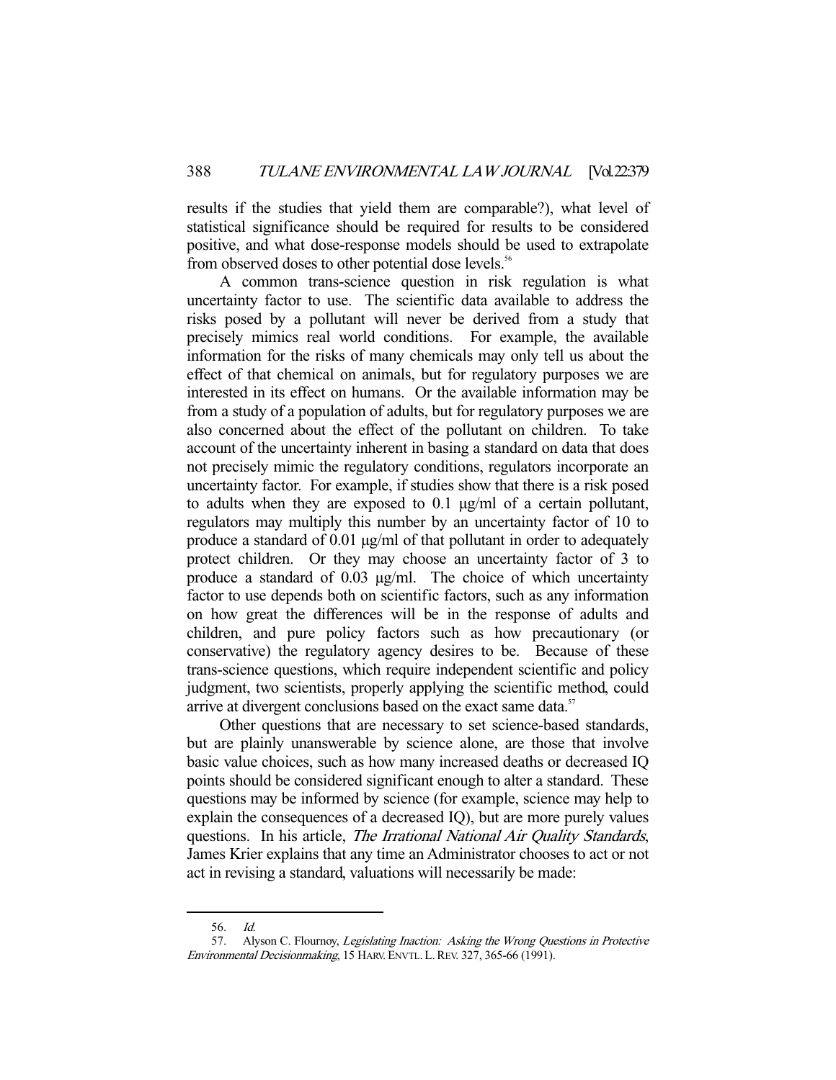results if the studies that yield them are comparable?), what level of statistical significance should be required for results to be considered positive, and what dose-response models should be used to extrapolate from observed doses to other potential dose levels.<sup>56</sup>

 A common trans-science question in risk regulation is what uncertainty factor to use. The scientific data available to address the risks posed by a pollutant will never be derived from a study that precisely mimics real world conditions. For example, the available information for the risks of many chemicals may only tell us about the effect of that chemical on animals, but for regulatory purposes we are interested in its effect on humans. Or the available information may be from a study of a population of adults, but for regulatory purposes we are also concerned about the effect of the pollutant on children. To take account of the uncertainty inherent in basing a standard on data that does not precisely mimic the regulatory conditions, regulators incorporate an uncertainty factor. For example, if studies show that there is a risk posed to adults when they are exposed to 0.1 µg/ml of a certain pollutant, regulators may multiply this number by an uncertainty factor of 10 to produce a standard of 0.01 µg/ml of that pollutant in order to adequately protect children. Or they may choose an uncertainty factor of 3 to produce a standard of 0.03 µg/ml. The choice of which uncertainty factor to use depends both on scientific factors, such as any information on how great the differences will be in the response of adults and children, and pure policy factors such as how precautionary (or conservative) the regulatory agency desires to be. Because of these trans-science questions, which require independent scientific and policy judgment, two scientists, properly applying the scientific method, could arrive at divergent conclusions based on the exact same data.<sup>57</sup>

 Other questions that are necessary to set science-based standards, but are plainly unanswerable by science alone, are those that involve basic value choices, such as how many increased deaths or decreased IQ points should be considered significant enough to alter a standard. These questions may be informed by science (for example, science may help to explain the consequences of a decreased IQ), but are more purely values questions. In his article, The Irrational National Air Quality Standards, James Krier explains that any time an Administrator chooses to act or not act in revising a standard, valuations will necessarily be made:

 <sup>56.</sup> Id.

<sup>57.</sup> Alyson C. Flournoy, Legislating Inaction: Asking the Wrong Questions in Protective Environmental Decisionmaking, 15 HARV. ENVTL.L.REV. 327, 365-66 (1991).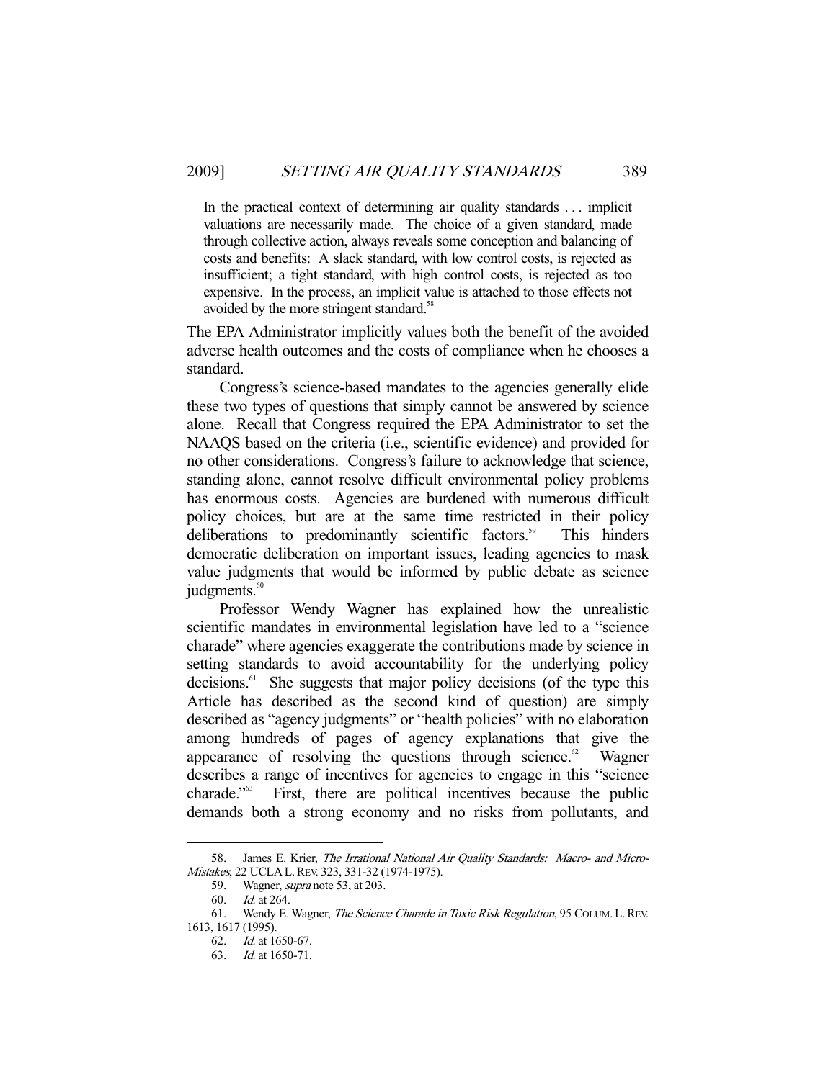In the practical context of determining air quality standards . . . implicit valuations are necessarily made. The choice of a given standard, made through collective action, always reveals some conception and balancing of costs and benefits: A slack standard, with low control costs, is rejected as insufficient; a tight standard, with high control costs, is rejected as too expensive. In the process, an implicit value is attached to those effects not avoided by the more stringent standard.<sup>58</sup>

The EPA Administrator implicitly values both the benefit of the avoided adverse health outcomes and the costs of compliance when he chooses a standard.

 Congress's science-based mandates to the agencies generally elide these two types of questions that simply cannot be answered by science alone. Recall that Congress required the EPA Administrator to set the NAAQS based on the criteria (i.e., scientific evidence) and provided for no other considerations. Congress's failure to acknowledge that science, standing alone, cannot resolve difficult environmental policy problems has enormous costs. Agencies are burdened with numerous difficult policy choices, but are at the same time restricted in their policy deliberations to predominantly scientific factors.<sup>59</sup> This hinders democratic deliberation on important issues, leading agencies to mask value judgments that would be informed by public debate as science judgments.<sup>60</sup>

 Professor Wendy Wagner has explained how the unrealistic scientific mandates in environmental legislation have led to a "science charade" where agencies exaggerate the contributions made by science in setting standards to avoid accountability for the underlying policy decisions.<sup>61</sup> She suggests that major policy decisions (of the type this Article has described as the second kind of question) are simply described as "agency judgments" or "health policies" with no elaboration among hundreds of pages of agency explanations that give the appearance of resolving the questions through science.<sup>62</sup> Wagner describes a range of incentives for agencies to engage in this "science charade."63 First, there are political incentives because the public demands both a strong economy and no risks from pollutants, and

 <sup>58.</sup> James E. Krier, The Irrational National Air Quality Standards: Macro- and Micro-Mistakes, 22 UCLA L.REV. 323, 331-32 (1974-1975).

<sup>59.</sup> Wagner, *supra* note 53, at 203.

 <sup>60.</sup> Id. at 264.

<sup>61.</sup> Wendy E. Wagner, The Science Charade in Toxic Risk Regulation, 95 COLUM. L. REV. 1613, 1617 (1995).

 <sup>62.</sup> Id. at 1650-67.

 <sup>63.</sup> Id. at 1650-71.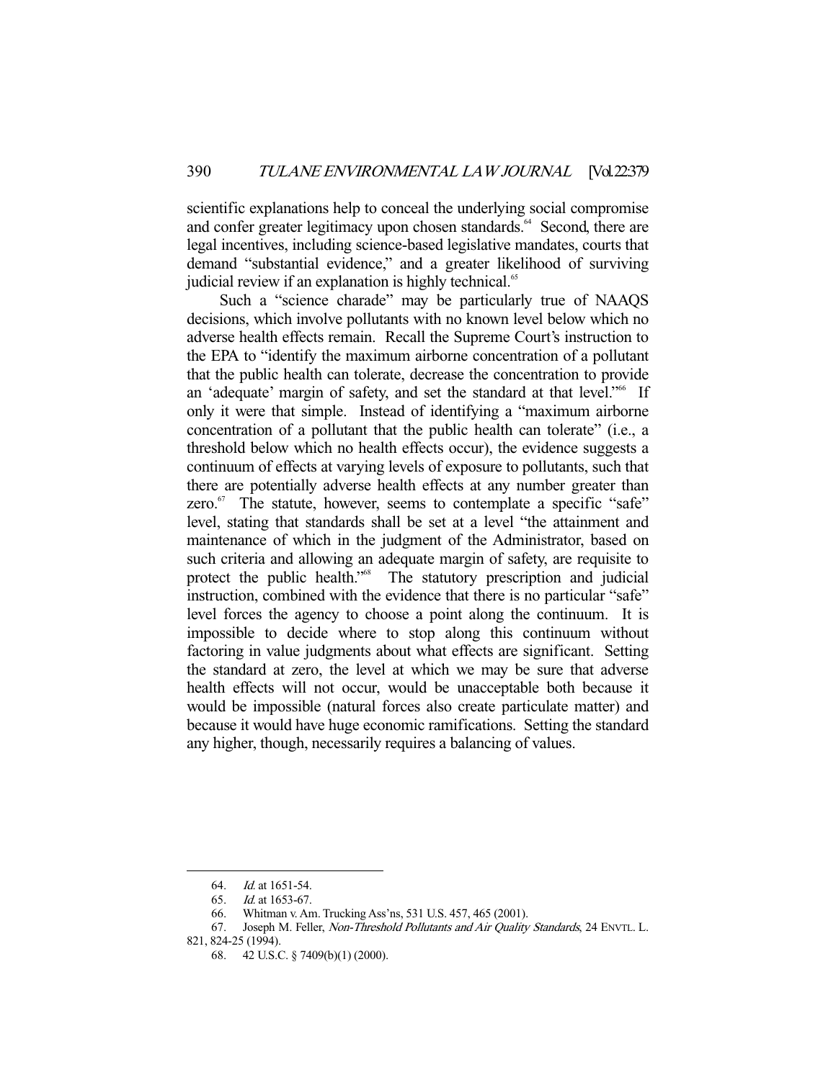scientific explanations help to conceal the underlying social compromise and confer greater legitimacy upon chosen standards.<sup>64</sup> Second, there are legal incentives, including science-based legislative mandates, courts that demand "substantial evidence," and a greater likelihood of surviving judicial review if an explanation is highly technical.<sup>65</sup>

 Such a "science charade" may be particularly true of NAAQS decisions, which involve pollutants with no known level below which no adverse health effects remain. Recall the Supreme Court's instruction to the EPA to "identify the maximum airborne concentration of a pollutant that the public health can tolerate, decrease the concentration to provide an 'adequate' margin of safety, and set the standard at that level."<sup>66</sup> If only it were that simple. Instead of identifying a "maximum airborne concentration of a pollutant that the public health can tolerate" (i.e., a threshold below which no health effects occur), the evidence suggests a continuum of effects at varying levels of exposure to pollutants, such that there are potentially adverse health effects at any number greater than zero. $67$  The statute, however, seems to contemplate a specific "safe" level, stating that standards shall be set at a level "the attainment and maintenance of which in the judgment of the Administrator, based on such criteria and allowing an adequate margin of safety, are requisite to protect the public health."<sup>68</sup> The statutory prescription and judicial instruction, combined with the evidence that there is no particular "safe" level forces the agency to choose a point along the continuum. It is impossible to decide where to stop along this continuum without factoring in value judgments about what effects are significant. Setting the standard at zero, the level at which we may be sure that adverse health effects will not occur, would be unacceptable both because it would be impossible (natural forces also create particulate matter) and because it would have huge economic ramifications. Setting the standard any higher, though, necessarily requires a balancing of values.

 <sup>64.</sup> Id. at 1651-54.

 <sup>65.</sup> Id. at 1653-67.

 <sup>66.</sup> Whitman v. Am. Trucking Ass'ns, 531 U.S. 457, 465 (2001).

<sup>67.</sup> Joseph M. Feller, *Non-Threshold Pollutants and Air Quality Standards*, 24 ENVTL. L. 821, 824-25 (1994).

 <sup>68. 42</sup> U.S.C. § 7409(b)(1) (2000).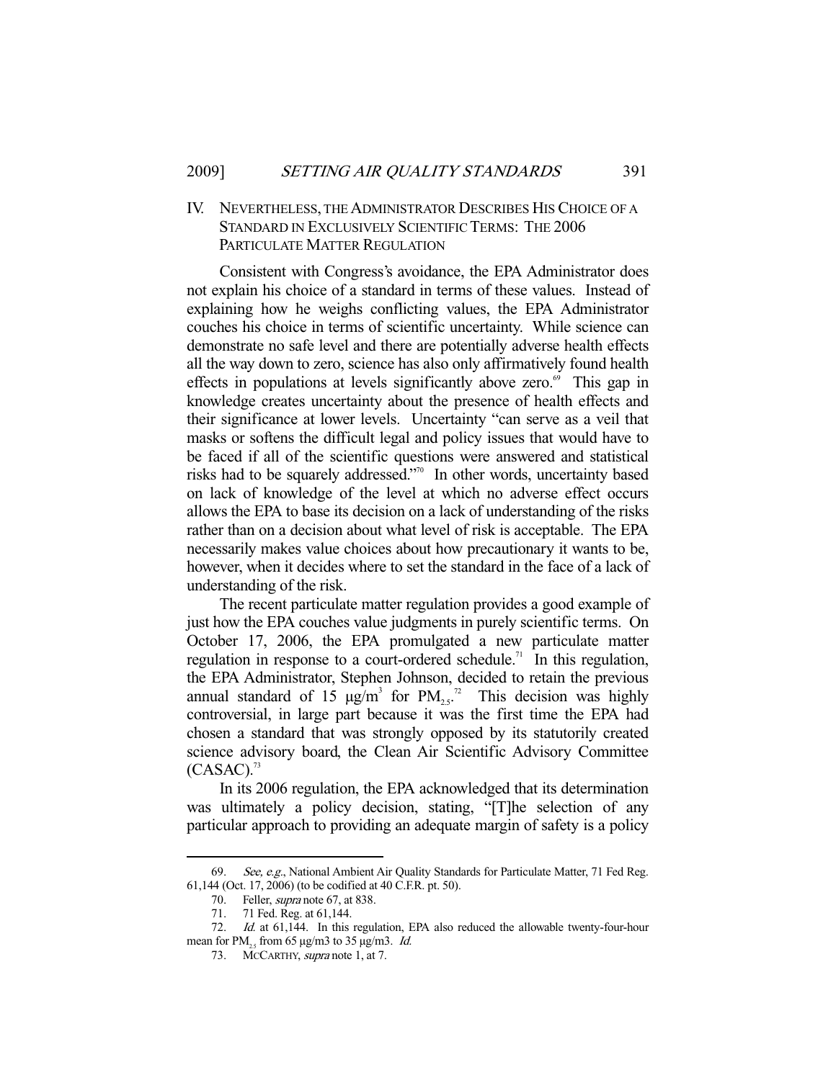## IV. NEVERTHELESS, THE ADMINISTRATOR DESCRIBES HIS CHOICE OF A STANDARD IN EXCLUSIVELY SCIENTIFIC TERMS: THE 2006 PARTICULATE MATTER REGULATION

 Consistent with Congress's avoidance, the EPA Administrator does not explain his choice of a standard in terms of these values. Instead of explaining how he weighs conflicting values, the EPA Administrator couches his choice in terms of scientific uncertainty. While science can demonstrate no safe level and there are potentially adverse health effects all the way down to zero, science has also only affirmatively found health effects in populations at levels significantly above zero.<sup>69</sup> This gap in knowledge creates uncertainty about the presence of health effects and their significance at lower levels. Uncertainty "can serve as a veil that masks or softens the difficult legal and policy issues that would have to be faced if all of the scientific questions were answered and statistical risks had to be squarely addressed."70 In other words, uncertainty based on lack of knowledge of the level at which no adverse effect occurs allows the EPA to base its decision on a lack of understanding of the risks rather than on a decision about what level of risk is acceptable. The EPA necessarily makes value choices about how precautionary it wants to be, however, when it decides where to set the standard in the face of a lack of understanding of the risk.

 The recent particulate matter regulation provides a good example of just how the EPA couches value judgments in purely scientific terms. On October 17, 2006, the EPA promulgated a new particulate matter regulation in response to a court-ordered schedule.<sup>71</sup> In this regulation, the EPA Administrator, Stephen Johnson, decided to retain the previous annual standard of 15  $\mu$ g/m<sup>3</sup> for PM<sub>2.5</sub><sup>72</sup> This decision was highly controversial, in large part because it was the first time the EPA had chosen a standard that was strongly opposed by its statutorily created science advisory board, the Clean Air Scientific Advisory Committee  $(CASAC).$ <sup>73</sup>

 In its 2006 regulation, the EPA acknowledged that its determination was ultimately a policy decision, stating, "[T]he selection of any particular approach to providing an adequate margin of safety is a policy

<sup>69.</sup> See, e.g., National Ambient Air Quality Standards for Particulate Matter, 71 Fed Reg. 61,144 (Oct. 17, 2006) (to be codified at 40 C.F.R. pt. 50).

<sup>70.</sup> Feller, *supra* note 67, at 838.

 <sup>71. 71</sup> Fed. Reg. at 61,144.

<sup>72.</sup> Id. at 61,144. In this regulation, EPA also reduced the allowable twenty-four-hour mean for PM<sub>25</sub> from 65  $\mu$ g/m3 to 35  $\mu$ g/m3. *Id.* 

<sup>73.</sup> MCCARTHY, *supra* note 1, at 7.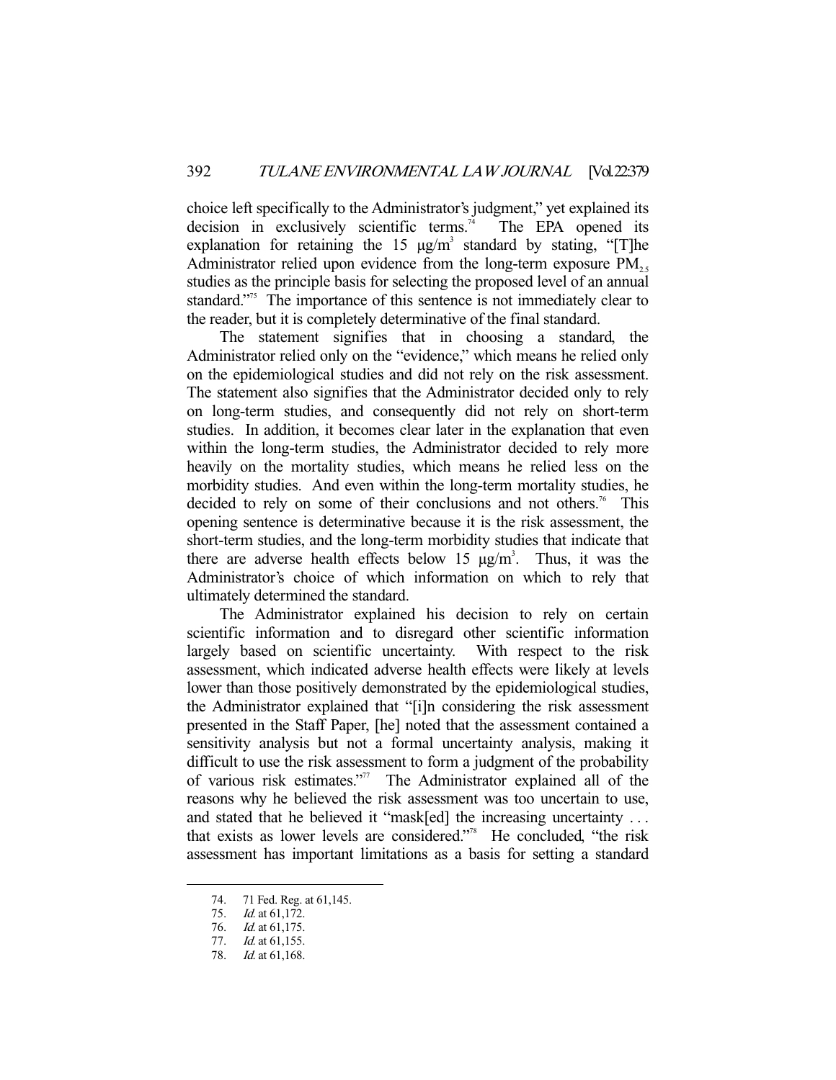choice left specifically to the Administrator's judgment," yet explained its decision in exclusively scientific terms.<sup>74</sup> The EPA opened its explanation for retaining the 15  $\mu$ g/m<sup>3</sup> standard by stating, "[T]he Administrator relied upon evidence from the long-term exposure  $PM_{25}$ studies as the principle basis for selecting the proposed level of an annual standard."<sup>55</sup> The importance of this sentence is not immediately clear to the reader, but it is completely determinative of the final standard.

 The statement signifies that in choosing a standard, the Administrator relied only on the "evidence," which means he relied only on the epidemiological studies and did not rely on the risk assessment. The statement also signifies that the Administrator decided only to rely on long-term studies, and consequently did not rely on short-term studies. In addition, it becomes clear later in the explanation that even within the long-term studies, the Administrator decided to rely more heavily on the mortality studies, which means he relied less on the morbidity studies. And even within the long-term mortality studies, he decided to rely on some of their conclusions and not others.<sup>76</sup> This opening sentence is determinative because it is the risk assessment, the short-term studies, and the long-term morbidity studies that indicate that there are adverse health effects below 15  $\mu$ g/m<sup>3</sup>. Thus, it was the Administrator's choice of which information on which to rely that ultimately determined the standard.

 The Administrator explained his decision to rely on certain scientific information and to disregard other scientific information largely based on scientific uncertainty. With respect to the risk assessment, which indicated adverse health effects were likely at levels lower than those positively demonstrated by the epidemiological studies, the Administrator explained that "[i]n considering the risk assessment presented in the Staff Paper, [he] noted that the assessment contained a sensitivity analysis but not a formal uncertainty analysis, making it difficult to use the risk assessment to form a judgment of the probability of various risk estimates."77 The Administrator explained all of the reasons why he believed the risk assessment was too uncertain to use, and stated that he believed it "mask[ed] the increasing uncertainty ... that exists as lower levels are considered."78 He concluded, "the risk assessment has important limitations as a basis for setting a standard

 <sup>74. 71</sup> Fed. Reg. at 61,145.

<sup>75.</sup> *Id.* at 61,172.

<sup>76.</sup> *Id.* at 61,175.

 <sup>77.</sup> Id. at 61,155.

 <sup>78.</sup> Id. at 61,168.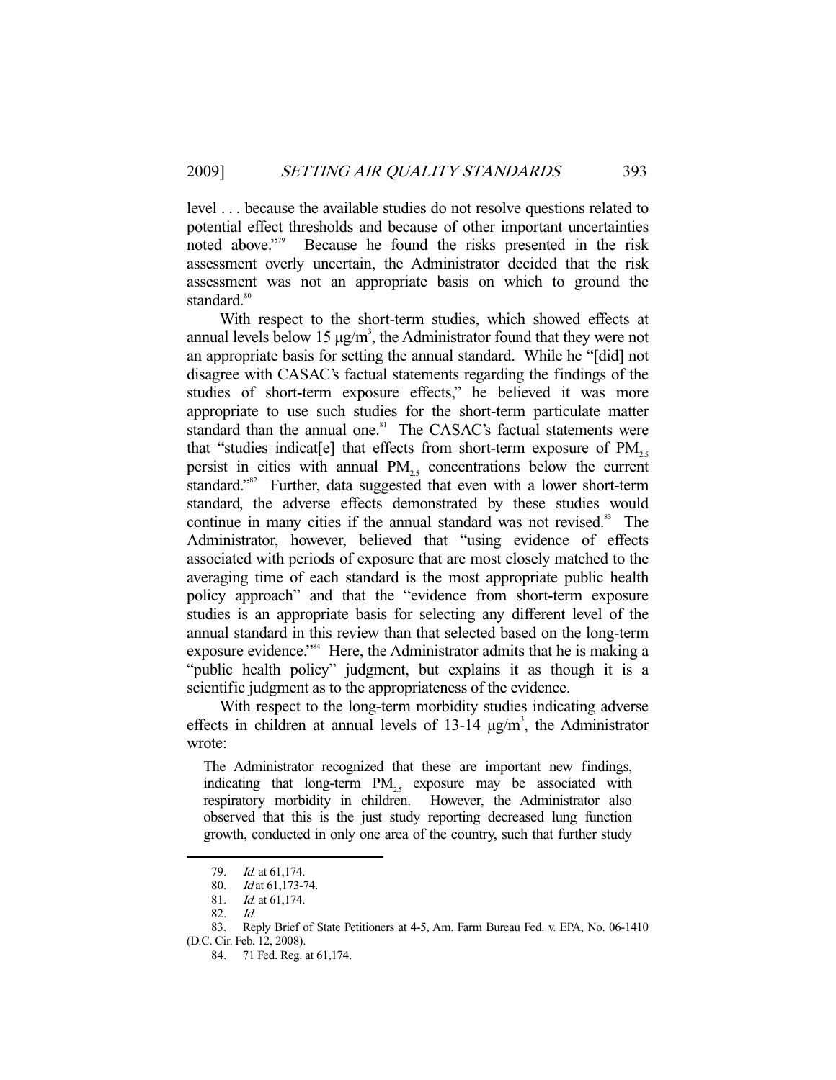level . . . because the available studies do not resolve questions related to potential effect thresholds and because of other important uncertainties noted above."<sup>79</sup> Because he found the risks presented in the risk assessment overly uncertain, the Administrator decided that the risk assessment was not an appropriate basis on which to ground the standard.<sup>80</sup>

 With respect to the short-term studies, which showed effects at annual levels below 15  $\mu$ g/m<sup>3</sup>, the Administrator found that they were not an appropriate basis for setting the annual standard. While he "[did] not disagree with CASAC's factual statements regarding the findings of the studies of short-term exposure effects," he believed it was more appropriate to use such studies for the short-term particulate matter standard than the annual one.<sup>81</sup> The CASAC's factual statements were that "studies indicat[e] that effects from short-term exposure of  $PM_{25}$ persist in cities with annual  $PM_{25}$  concentrations below the current standard."<sup>82</sup> Further, data suggested that even with a lower short-term standard, the adverse effects demonstrated by these studies would continue in many cities if the annual standard was not revised.<sup>83</sup> The Administrator, however, believed that "using evidence of effects associated with periods of exposure that are most closely matched to the averaging time of each standard is the most appropriate public health policy approach" and that the "evidence from short-term exposure studies is an appropriate basis for selecting any different level of the annual standard in this review than that selected based on the long-term exposure evidence."<sup>84</sup> Here, the Administrator admits that he is making a "public health policy" judgment, but explains it as though it is a scientific judgment as to the appropriateness of the evidence.

 With respect to the long-term morbidity studies indicating adverse effects in children at annual levels of  $13-14 \mu g/m^3$ , the Administrator wrote:

The Administrator recognized that these are important new findings, indicating that long-term  $PM_{25}$  exposure may be associated with respiratory morbidity in children. However, the Administrator also observed that this is the just study reporting decreased lung function growth, conducted in only one area of the country, such that further study

<sup>79.</sup> *Id.* at 61,174.

 <sup>80.</sup> Id at 61,173-74.

 <sup>81.</sup> Id. at 61,174.

 <sup>82.</sup> Id.

 <sup>83.</sup> Reply Brief of State Petitioners at 4-5, Am. Farm Bureau Fed. v. EPA, No. 06-1410 (D.C. Cir. Feb. 12, 2008).

 <sup>84. 71</sup> Fed. Reg. at 61,174.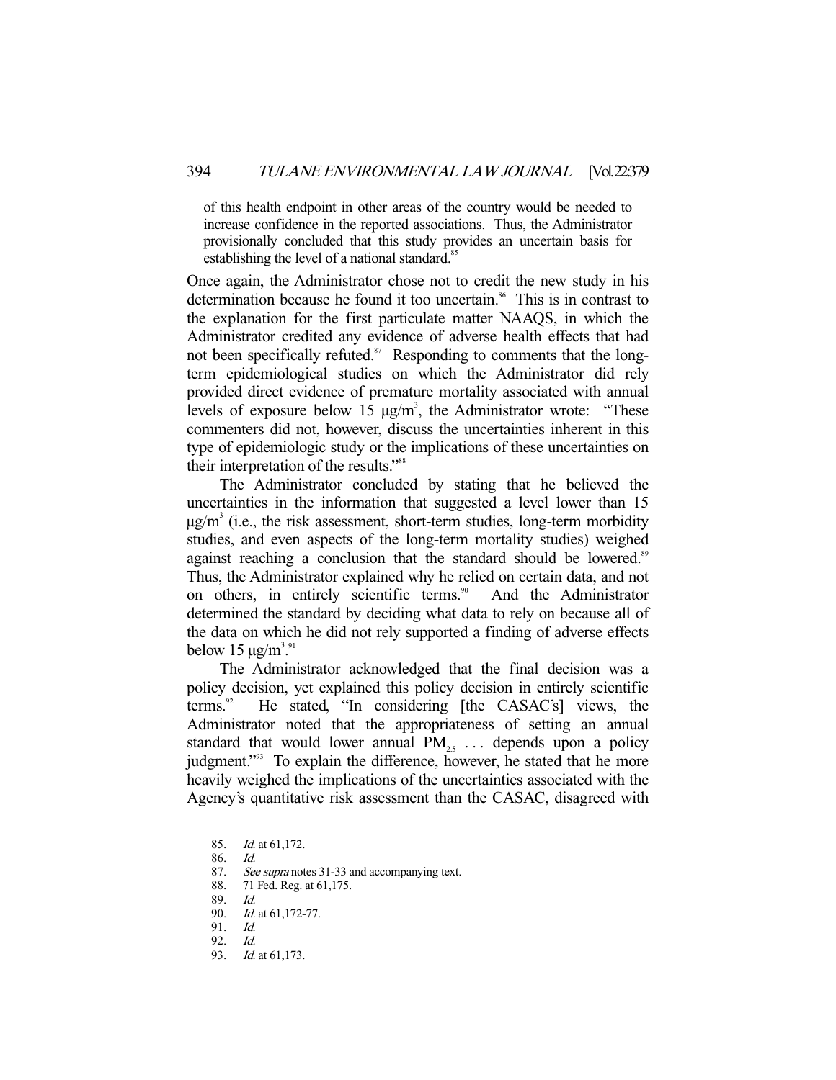of this health endpoint in other areas of the country would be needed to increase confidence in the reported associations. Thus, the Administrator provisionally concluded that this study provides an uncertain basis for establishing the level of a national standard.<sup>85</sup>

Once again, the Administrator chose not to credit the new study in his determination because he found it too uncertain.<sup>86</sup> This is in contrast to the explanation for the first particulate matter NAAQS, in which the Administrator credited any evidence of adverse health effects that had not been specifically refuted. $87$  Responding to comments that the longterm epidemiological studies on which the Administrator did rely provided direct evidence of premature mortality associated with annual levels of exposure below 15  $\mu$ g/m<sup>3</sup>, the Administrator wrote: "These commenters did not, however, discuss the uncertainties inherent in this type of epidemiologic study or the implications of these uncertainties on their interpretation of the results."<sup>88</sup>

 The Administrator concluded by stating that he believed the uncertainties in the information that suggested a level lower than 15  $\mu$ g/m<sup>3</sup> (i.e., the risk assessment, short-term studies, long-term morbidity studies, and even aspects of the long-term mortality studies) weighed against reaching a conclusion that the standard should be lowered.<sup>89</sup> Thus, the Administrator explained why he relied on certain data, and not on others, in entirely scientific terms.<sup>90</sup> And the Administrator determined the standard by deciding what data to rely on because all of the data on which he did not rely supported a finding of adverse effects below 15  $\mu$ g/m<sup>3,91</sup>

 The Administrator acknowledged that the final decision was a policy decision, yet explained this policy decision in entirely scientific terms.<sup>22</sup> He stated, "In considering [the CASAC's] views, the He stated, "In considering [the CASAC's] views, the Administrator noted that the appropriateness of setting an annual standard that would lower annual  $PM_{25}$ ... depends upon a policy judgment."<sup>93</sup> To explain the difference, however, he stated that he more heavily weighed the implications of the uncertainties associated with the Agency's quantitative risk assessment than the CASAC, disagreed with

 <sup>85.</sup> Id. at 61,172.

 <sup>86.</sup> Id.

<sup>87.</sup> See supra notes 31-33 and accompanying text.

 <sup>88. 71</sup> Fed. Reg. at 61,175.

 <sup>89.</sup> Id.

 <sup>90.</sup> Id. at 61,172-77.

 <sup>91.</sup> Id.

 <sup>92.</sup> Id.

<sup>93.</sup> *Id.* at 61,173.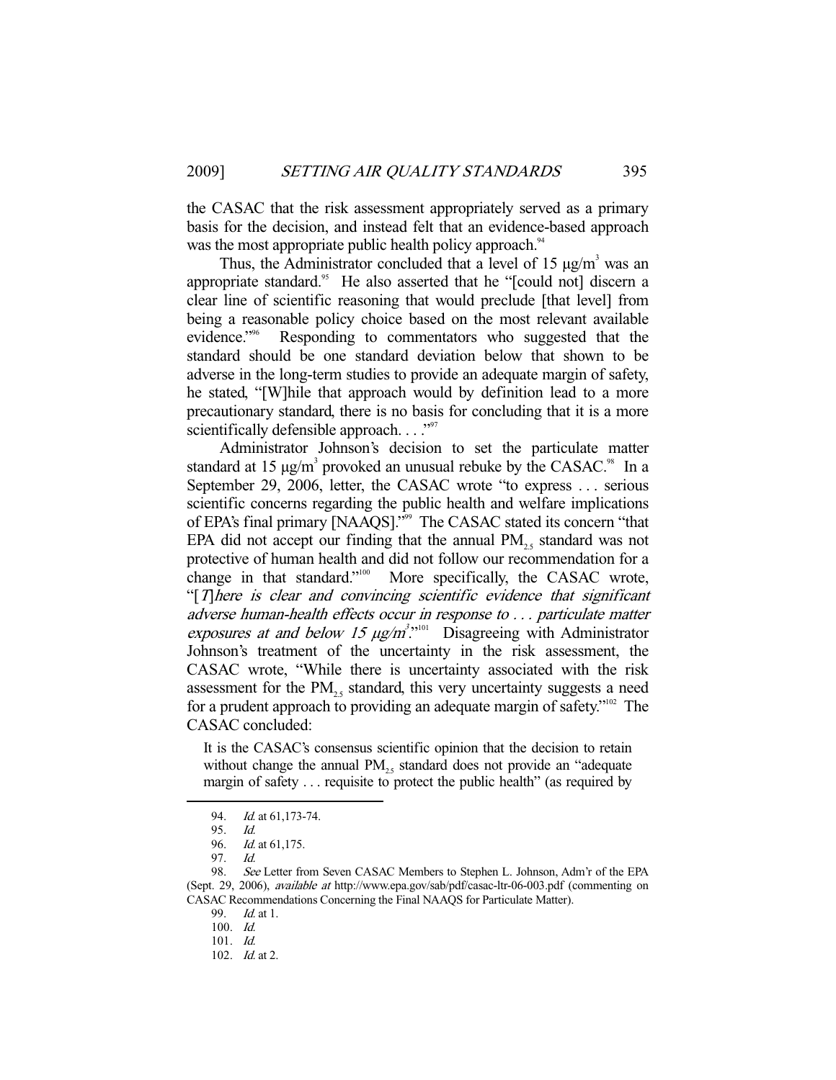the CASAC that the risk assessment appropriately served as a primary basis for the decision, and instead felt that an evidence-based approach was the most appropriate public health policy approach.<sup>94</sup>

Thus, the Administrator concluded that a level of 15  $\mu$ g/m<sup>3</sup> was an appropriate standard.<sup>95</sup> He also asserted that he "[could not] discern a clear line of scientific reasoning that would preclude [that level] from being a reasonable policy choice based on the most relevant available evidence."<sup>96</sup> Responding to commentators who suggested that the standard should be one standard deviation below that shown to be adverse in the long-term studies to provide an adequate margin of safety, he stated, "[W]hile that approach would by definition lead to a more precautionary standard, there is no basis for concluding that it is a more scientifically defensible approach. . . . "<sup>97</sup>

 Administrator Johnson's decision to set the particulate matter standard at 15  $\mu$ g/m<sup>3</sup> provoked an unusual rebuke by the CASAC.<sup>98</sup> In a September 29, 2006, letter, the CASAC wrote "to express . . . serious scientific concerns regarding the public health and welfare implications of EPA's final primary [NAAQS]."99 The CASAC stated its concern "that EPA did not accept our finding that the annual  $PM_{25}$  standard was not protective of human health and did not follow our recommendation for a change in that standard."<sup>100</sup> More specifically, the CASAC wrote, More specifically, the CASAC wrote, "[T]here is clear and convincing scientific evidence that significant adverse human-health effects occur in response to . . . particulate matter exposures at and below 15  $\mu g/m^3$ .<sup>101</sup> Disagreeing with Administrator Johnson's treatment of the uncertainty in the risk assessment, the CASAC wrote, "While there is uncertainty associated with the risk assessment for the  $PM_{2.5}$  standard, this very uncertainty suggests a need for a prudent approach to providing an adequate margin of safety."102 The CASAC concluded:

It is the CASAC's consensus scientific opinion that the decision to retain without change the annual  $PM<sub>25</sub>$  standard does not provide an "adequate" margin of safety . . . requisite to protect the public health" (as required by

<sup>94.</sup> *Id.* at 61,173-74.

 <sup>95.</sup> Id.

 <sup>96.</sup> Id. at 61,175.

 <sup>97.</sup> Id.

 <sup>98.</sup> See Letter from Seven CASAC Members to Stephen L. Johnson, Adm'r of the EPA (Sept. 29, 2006), available at http://www.epa.gov/sab/pdf/casac-ltr-06-003.pdf (commenting on CASAC Recommendations Concerning the Final NAAQS for Particulate Matter).

<sup>99.</sup> *Id.* at 1.

 <sup>100.</sup> Id.

 <sup>101.</sup> Id.

 <sup>102.</sup> Id. at 2.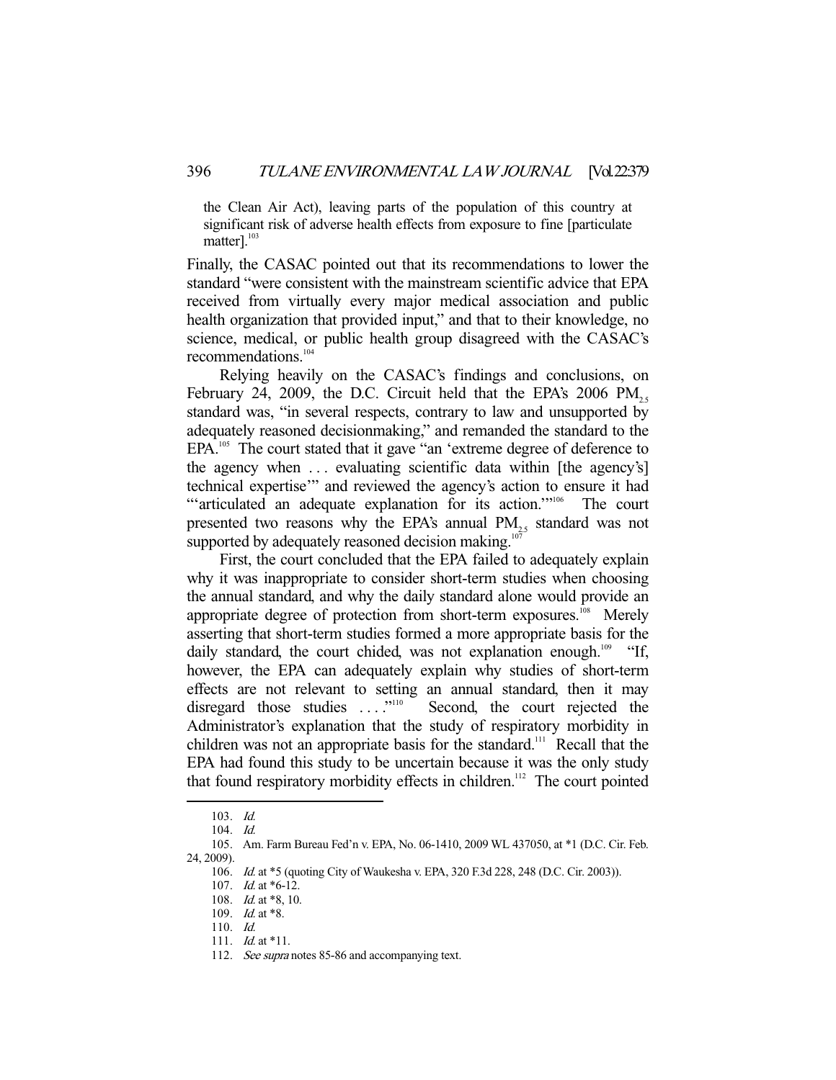the Clean Air Act), leaving parts of the population of this country at significant risk of adverse health effects from exposure to fine [particulate matter]. $^{103}$ 

Finally, the CASAC pointed out that its recommendations to lower the standard "were consistent with the mainstream scientific advice that EPA received from virtually every major medical association and public health organization that provided input," and that to their knowledge, no science, medical, or public health group disagreed with the CASAC's recommendations.<sup>104</sup>

 Relying heavily on the CASAC's findings and conclusions, on February 24, 2009, the D.C. Circuit held that the EPA's 2006  $PM_{25}$ standard was, "in several respects, contrary to law and unsupported by adequately reasoned decisionmaking," and remanded the standard to the EPA.<sup>105</sup> The court stated that it gave "an 'extreme degree of deference to the agency when ... evaluating scientific data within [the agency's] technical expertise'" and reviewed the agency's action to ensure it had "'articulated an adequate explanation for its action."<sup>106</sup> The court presented two reasons why the EPA's annual PM<sub>25</sub> standard was not supported by adequately reasoned decision making. $107$ 

 First, the court concluded that the EPA failed to adequately explain why it was inappropriate to consider short-term studies when choosing the annual standard, and why the daily standard alone would provide an appropriate degree of protection from short-term exposures.<sup>108</sup> Merely asserting that short-term studies formed a more appropriate basis for the daily standard, the court chided, was not explanation enough.<sup>109</sup> "If, however, the EPA can adequately explain why studies of short-term effects are not relevant to setting an annual standard, then it may disregard those studies ...."<sup>110</sup> Second, the court rejected the Administrator's explanation that the study of respiratory morbidity in children was not an appropriate basis for the standard.<sup>111</sup> Recall that the EPA had found this study to be uncertain because it was the only study that found respiratory morbidity effects in children.<sup>112</sup> The court pointed

 <sup>103.</sup> Id.

 <sup>104.</sup> Id.

 <sup>105.</sup> Am. Farm Bureau Fed'n v. EPA, No. 06-1410, 2009 WL 437050, at \*1 (D.C. Cir. Feb. 24, 2009).

 <sup>106.</sup> Id. at \*5 (quoting City of Waukesha v. EPA, 320 F.3d 228, 248 (D.C. Cir. 2003)).

<sup>107.</sup> *Id.* at \*6-12.

 <sup>108.</sup> Id. at \*8, 10.

<sup>109.</sup> *Id.* at \*8.

 <sup>110.</sup> Id.

<sup>111.</sup> *Id.* at \*11.

<sup>112.</sup> See supra notes 85-86 and accompanying text.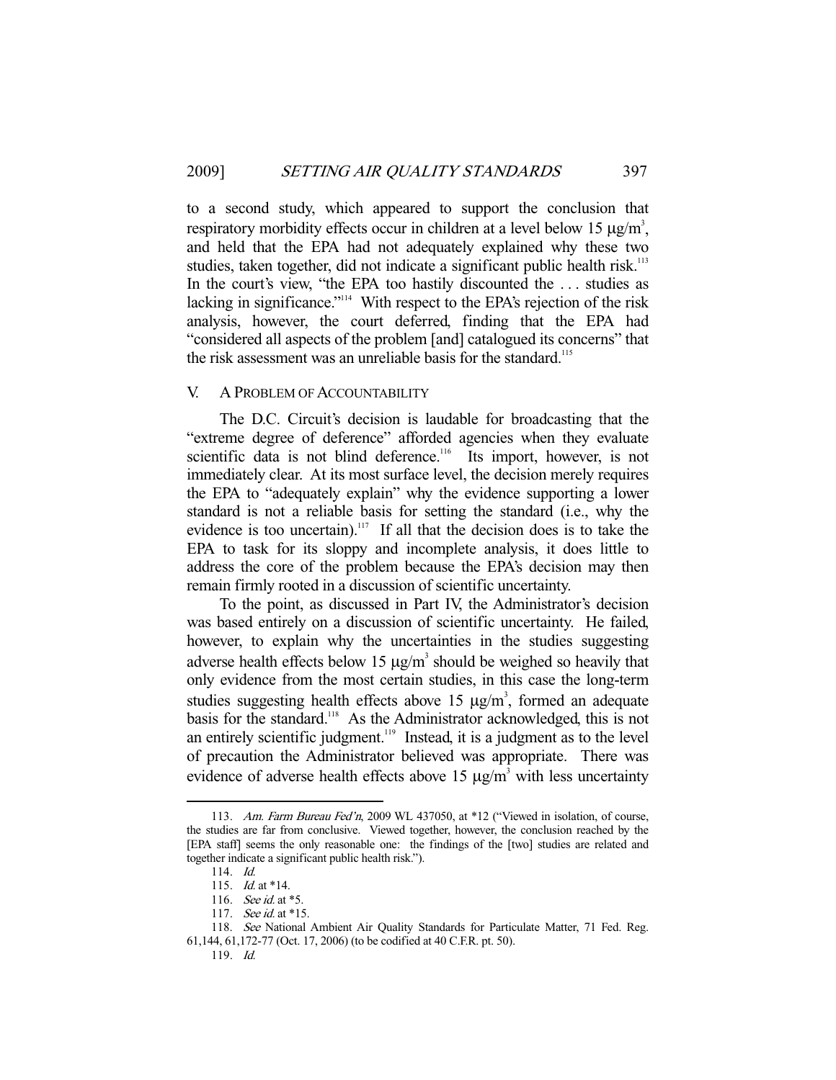to a second study, which appeared to support the conclusion that respiratory morbidity effects occur in children at a level below 15  $\mu$ g/m<sup>3</sup>, and held that the EPA had not adequately explained why these two studies, taken together, did not indicate a significant public health risk.<sup>113</sup> In the court's view, "the EPA too hastily discounted the . . . studies as lacking in significance."<sup>114</sup> With respect to the EPA's rejection of the risk analysis, however, the court deferred, finding that the EPA had "considered all aspects of the problem [and] catalogued its concerns" that the risk assessment was an unreliable basis for the standard.<sup>115</sup>

## V. A PROBLEM OF ACCOUNTABILITY

 The D.C. Circuit's decision is laudable for broadcasting that the "extreme degree of deference" afforded agencies when they evaluate scientific data is not blind deference.<sup>116</sup> Its import, however, is not immediately clear. At its most surface level, the decision merely requires the EPA to "adequately explain" why the evidence supporting a lower standard is not a reliable basis for setting the standard (i.e., why the evidence is too uncertain).<sup>117</sup> If all that the decision does is to take the EPA to task for its sloppy and incomplete analysis, it does little to address the core of the problem because the EPA's decision may then remain firmly rooted in a discussion of scientific uncertainty.

 To the point, as discussed in Part IV, the Administrator's decision was based entirely on a discussion of scientific uncertainty. He failed, however, to explain why the uncertainties in the studies suggesting adverse health effects below 15  $\mu$ g/m<sup>3</sup> should be weighed so heavily that only evidence from the most certain studies, in this case the long-term studies suggesting health effects above 15  $\mu$ g/m<sup>3</sup>, formed an adequate basis for the standard.<sup>118</sup> As the Administrator acknowledged, this is not an entirely scientific judgment.<sup>119</sup> Instead, it is a judgment as to the level of precaution the Administrator believed was appropriate. There was evidence of adverse health effects above 15  $\mu$ g/m<sup>3</sup> with less uncertainty

<sup>113.</sup> Am. Farm Bureau Fed'n, 2009 WL 437050, at \*12 ("Viewed in isolation, of course, the studies are far from conclusive. Viewed together, however, the conclusion reached by the [EPA staff] seems the only reasonable one: the findings of the [two] studies are related and together indicate a significant public health risk.").

 <sup>114.</sup> Id.

<sup>115.</sup> *Id.* at \*14.

<sup>116.</sup> *See id.* at \*5.

<sup>117.</sup> See id. at \*15.

 <sup>118.</sup> See National Ambient Air Quality Standards for Particulate Matter, 71 Fed. Reg. 61,144, 61,172-77 (Oct. 17, 2006) (to be codified at 40 C.F.R. pt. 50).

 <sup>119.</sup> Id.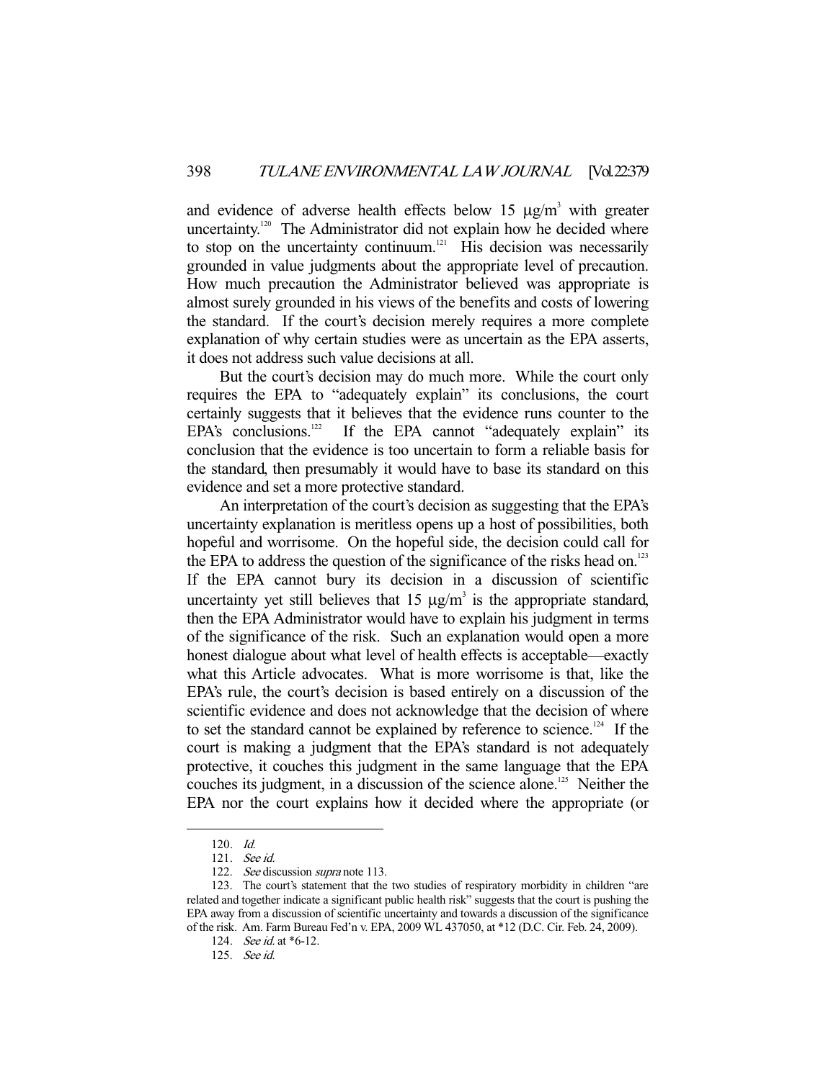and evidence of adverse health effects below 15  $\mu$ g/m<sup>3</sup> with greater uncertainty.<sup>120</sup> The Administrator did not explain how he decided where to stop on the uncertainty continuum.<sup>121</sup> His decision was necessarily grounded in value judgments about the appropriate level of precaution. How much precaution the Administrator believed was appropriate is almost surely grounded in his views of the benefits and costs of lowering the standard. If the court's decision merely requires a more complete explanation of why certain studies were as uncertain as the EPA asserts, it does not address such value decisions at all.

 But the court's decision may do much more. While the court only requires the EPA to "adequately explain" its conclusions, the court certainly suggests that it believes that the evidence runs counter to the EPA's conclusions.<sup>122</sup> If the EPA cannot "adequately explain" its If the EPA cannot "adequately explain" its conclusion that the evidence is too uncertain to form a reliable basis for the standard, then presumably it would have to base its standard on this evidence and set a more protective standard.

 An interpretation of the court's decision as suggesting that the EPA's uncertainty explanation is meritless opens up a host of possibilities, both hopeful and worrisome. On the hopeful side, the decision could call for the EPA to address the question of the significance of the risks head on.<sup>123</sup> If the EPA cannot bury its decision in a discussion of scientific uncertainty yet still believes that  $15 \mu g/m^3$  is the appropriate standard, then the EPA Administrator would have to explain his judgment in terms of the significance of the risk. Such an explanation would open a more honest dialogue about what level of health effects is acceptable—exactly what this Article advocates. What is more worrisome is that, like the EPA's rule, the court's decision is based entirely on a discussion of the scientific evidence and does not acknowledge that the decision of where to set the standard cannot be explained by reference to science.<sup>124</sup> If the court is making a judgment that the EPA's standard is not adequately protective, it couches this judgment in the same language that the EPA couches its judgment, in a discussion of the science alone.<sup>125</sup> Neither the EPA nor the court explains how it decided where the appropriate (or

 <sup>120.</sup> Id.

 <sup>121.</sup> See id.

<sup>122.</sup> See discussion supra note 113.

 <sup>123.</sup> The court's statement that the two studies of respiratory morbidity in children "are related and together indicate a significant public health risk" suggests that the court is pushing the EPA away from a discussion of scientific uncertainty and towards a discussion of the significance of the risk. Am. Farm Bureau Fed'n v. EPA, 2009 WL 437050, at \*12 (D.C. Cir. Feb. 24, 2009).

<sup>124.</sup> *See id.* at \*6-12.

 <sup>125.</sup> See id.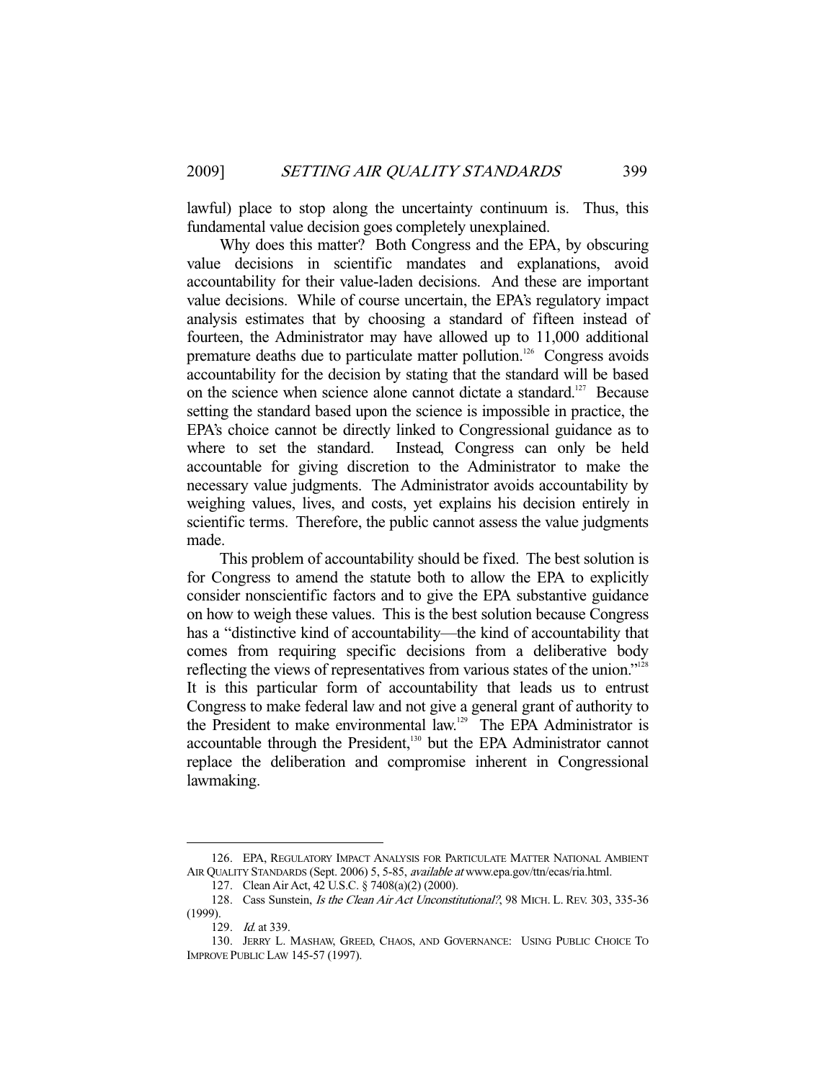lawful) place to stop along the uncertainty continuum is. Thus, this fundamental value decision goes completely unexplained.

 Why does this matter? Both Congress and the EPA, by obscuring value decisions in scientific mandates and explanations, avoid accountability for their value-laden decisions. And these are important value decisions. While of course uncertain, the EPA's regulatory impact analysis estimates that by choosing a standard of fifteen instead of fourteen, the Administrator may have allowed up to 11,000 additional premature deaths due to particulate matter pollution.<sup>126</sup> Congress avoids accountability for the decision by stating that the standard will be based on the science when science alone cannot dictate a standard.<sup>127</sup> Because setting the standard based upon the science is impossible in practice, the EPA's choice cannot be directly linked to Congressional guidance as to where to set the standard. Instead, Congress can only be held accountable for giving discretion to the Administrator to make the necessary value judgments. The Administrator avoids accountability by weighing values, lives, and costs, yet explains his decision entirely in scientific terms. Therefore, the public cannot assess the value judgments made.

 This problem of accountability should be fixed. The best solution is for Congress to amend the statute both to allow the EPA to explicitly consider nonscientific factors and to give the EPA substantive guidance on how to weigh these values. This is the best solution because Congress has a "distinctive kind of accountability—the kind of accountability that comes from requiring specific decisions from a deliberative body reflecting the views of representatives from various states of the union."<sup>128</sup> It is this particular form of accountability that leads us to entrust Congress to make federal law and not give a general grant of authority to the President to make environmental law.<sup>129</sup> The EPA Administrator is accountable through the President,<sup>130</sup> but the EPA Administrator cannot replace the deliberation and compromise inherent in Congressional lawmaking.

 <sup>126.</sup> EPA, REGULATORY IMPACT ANALYSIS FOR PARTICULATE MATTER NATIONAL AMBIENT AIR QUALITY STANDARDS (Sept. 2006) 5, 5-85, available at www.epa.gov/ttn/ecas/ria.html.

 <sup>127.</sup> Clean Air Act, 42 U.S.C. § 7408(a)(2) (2000).

<sup>128.</sup> Cass Sunstein, Is the Clean Air Act Unconstitutional?, 98 MICH. L. REV. 303, 335-36 (1999).

<sup>129.</sup> *Id.* at 339.

 <sup>130.</sup> JERRY L. MASHAW, GREED, CHAOS, AND GOVERNANCE: USING PUBLIC CHOICE TO IMPROVE PUBLIC LAW 145-57 (1997).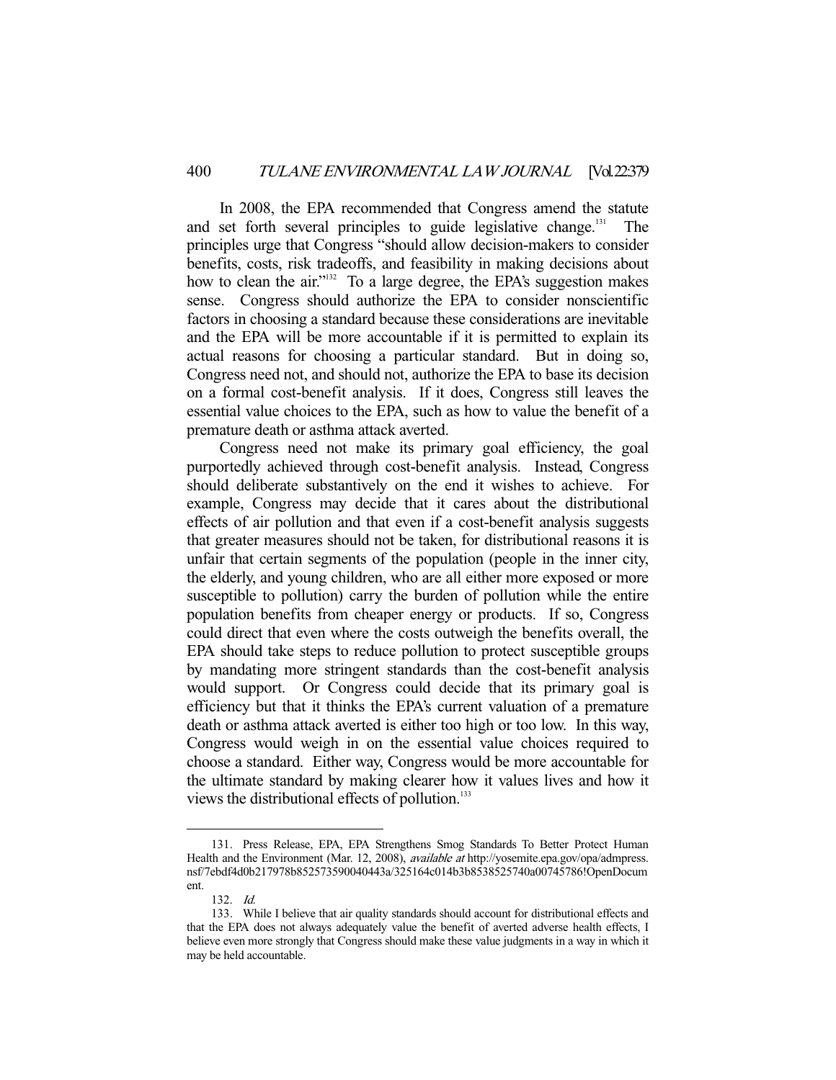In 2008, the EPA recommended that Congress amend the statute and set forth several principles to guide legislative change.<sup>131</sup> The principles urge that Congress "should allow decision-makers to consider benefits, costs, risk tradeoffs, and feasibility in making decisions about how to clean the air."<sup>132</sup> To a large degree, the EPA's suggestion makes sense. Congress should authorize the EPA to consider nonscientific factors in choosing a standard because these considerations are inevitable and the EPA will be more accountable if it is permitted to explain its actual reasons for choosing a particular standard. But in doing so, Congress need not, and should not, authorize the EPA to base its decision on a formal cost-benefit analysis. If it does, Congress still leaves the essential value choices to the EPA, such as how to value the benefit of a premature death or asthma attack averted.

 Congress need not make its primary goal efficiency, the goal purportedly achieved through cost-benefit analysis. Instead, Congress should deliberate substantively on the end it wishes to achieve. For example, Congress may decide that it cares about the distributional effects of air pollution and that even if a cost-benefit analysis suggests that greater measures should not be taken, for distributional reasons it is unfair that certain segments of the population (people in the inner city, the elderly, and young children, who are all either more exposed or more susceptible to pollution) carry the burden of pollution while the entire population benefits from cheaper energy or products. If so, Congress could direct that even where the costs outweigh the benefits overall, the EPA should take steps to reduce pollution to protect susceptible groups by mandating more stringent standards than the cost-benefit analysis would support. Or Congress could decide that its primary goal is efficiency but that it thinks the EPA's current valuation of a premature death or asthma attack averted is either too high or too low. In this way, Congress would weigh in on the essential value choices required to choose a standard. Either way, Congress would be more accountable for the ultimate standard by making clearer how it values lives and how it views the distributional effects of pollution.<sup>133</sup>

 <sup>131.</sup> Press Release, EPA, EPA Strengthens Smog Standards To Better Protect Human Health and the Environment (Mar. 12, 2008), available at http://yosemite.epa.gov/opa/admpress. nsf/7ebdf4d0b217978b852573590040443a/325164c014b3b8538525740a00745786!OpenDocum ent.

 <sup>132.</sup> Id.

 <sup>133.</sup> While I believe that air quality standards should account for distributional effects and that the EPA does not always adequately value the benefit of averted adverse health effects, I believe even more strongly that Congress should make these value judgments in a way in which it may be held accountable.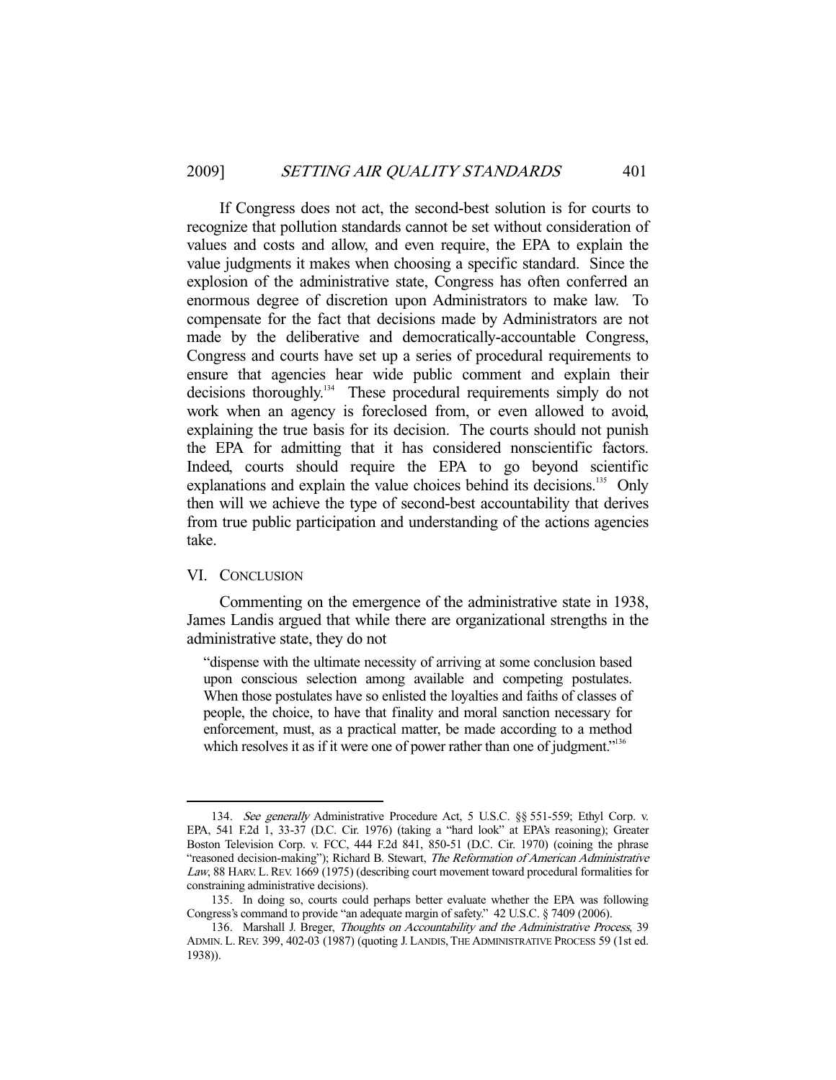If Congress does not act, the second-best solution is for courts to recognize that pollution standards cannot be set without consideration of values and costs and allow, and even require, the EPA to explain the value judgments it makes when choosing a specific standard. Since the explosion of the administrative state, Congress has often conferred an enormous degree of discretion upon Administrators to make law. To compensate for the fact that decisions made by Administrators are not made by the deliberative and democratically-accountable Congress, Congress and courts have set up a series of procedural requirements to ensure that agencies hear wide public comment and explain their decisions thoroughly.<sup>134</sup> These procedural requirements simply do not work when an agency is foreclosed from, or even allowed to avoid, explaining the true basis for its decision. The courts should not punish the EPA for admitting that it has considered nonscientific factors. Indeed, courts should require the EPA to go beyond scientific explanations and explain the value choices behind its decisions.<sup>135</sup> Only then will we achieve the type of second-best accountability that derives from true public participation and understanding of the actions agencies take.

## VI. CONCLUSION

-

 Commenting on the emergence of the administrative state in 1938, James Landis argued that while there are organizational strengths in the administrative state, they do not

"dispense with the ultimate necessity of arriving at some conclusion based upon conscious selection among available and competing postulates. When those postulates have so enlisted the loyalties and faiths of classes of people, the choice, to have that finality and moral sanction necessary for enforcement, must, as a practical matter, be made according to a method which resolves it as if it were one of power rather than one of judgment."<sup>136</sup>

 <sup>134.</sup> See generally Administrative Procedure Act, 5 U.S.C. §§ 551-559; Ethyl Corp. v. EPA, 541 F.2d 1, 33-37 (D.C. Cir. 1976) (taking a "hard look" at EPA's reasoning); Greater Boston Television Corp. v. FCC, 444 F.2d 841, 850-51 (D.C. Cir. 1970) (coining the phrase "reasoned decision-making"); Richard B. Stewart, The Reformation of American Administrative Law, 88 HARV. L. REV. 1669 (1975) (describing court movement toward procedural formalities for constraining administrative decisions).

 <sup>135.</sup> In doing so, courts could perhaps better evaluate whether the EPA was following Congress's command to provide "an adequate margin of safety." 42 U.S.C. § 7409 (2006).

<sup>136.</sup> Marshall J. Breger, Thoughts on Accountability and the Administrative Process, 39 ADMIN. L. REV. 399, 402-03 (1987) (quoting J. LANDIS, THE ADMINISTRATIVE PROCESS 59 (1st ed. 1938)).